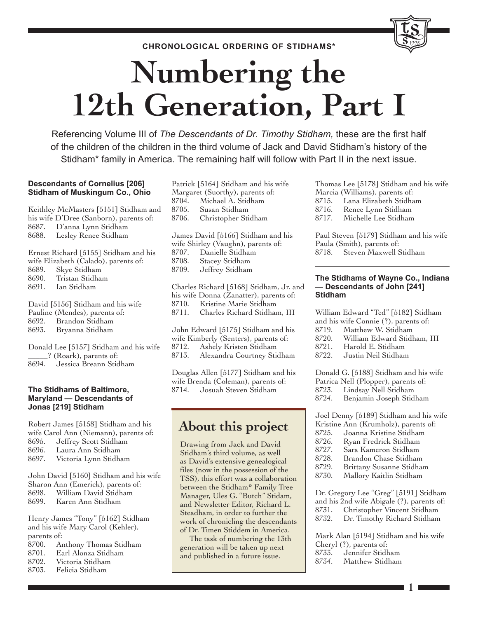**CHRONOLOGICAL ORDERING OF STIDHAMS\***



Referencing Volume III of *The Descendants of Dr. Timothy Stidham,* these are the first half of the children of the children in the third volume of Jack and David Stidham's history of the Stidham\* family in America. The remaining half will follow with Part II in the next issue.

Patrick [5164] Stidham and his wife

# **Descendants of Cornelius [206] Stidham of Muskingum Co., Ohio**

Keithley McMasters [5151] Stidham and his wife D'Dree (Sanborn), parents of: 8687. D'anna Lynn Stidham 8688. Lesley Renee Stidham

Ernest Richard [5155] Stidham and his wife Elizabeth (Calado), parents of: 8689. Skye Stidham 8690. Tristan Stidham 8691. Ian Stidham

David [5156] Stidham and his wife Pauline (Mendes), parents of: 8692. Brandon Stidham 8693. Bryanna Stidham

Donald Lee [5157] Stidham and his wife \_\_\_\_\_? (Roark), parents of: 8694. Jessica Breann Stidham

# **The Stidhams of Baltimore, Maryland — Descendants of Jonas [219] Stidham**

Robert James [5158] Stidham and his wife Carol Ann (Niemann), parents of: 8695. Jeffrey Scott Stidham<br>8696. Laura Ann Stidham Laura Ann Stidham 8697. Victoria Lynn Stidham

John David [5160] Stidham and his wife Sharon Ann (Emerick), parents of: 8698. William David Stidham Karen Ann Stidham

Henry James "Tony" [5162] Stidham and his wife Mary Carol (Kehler), parents of:

- 8700. Anthony Thomas Stidham<br>8701. Earl Alonza Stidham Earl Alonza Stidham
- 8702. Victoria Stidham
- 8703. Felicia Stidham

|       | Margaret (Suorthy), parents of:         |
|-------|-----------------------------------------|
|       | 8704. Michael A. Stidham                |
|       | 8705.     Susan Stidham                 |
|       | 8706. Christopher Stidham               |
|       | James David [5166] Stidham and his      |
|       | wife Shirley (Vaughn), parents of:      |
|       | 8707. Danielle Stidham                  |
|       | 8708. Stacey Stidham                    |
|       | 8709. Jeffrey Stidham                   |
|       | Charles Richard [5168] Stidham, Jr. and |
|       | his wife Donna (Zanatter), parents of:  |
| 8710. | Kristine Marie Stidham                  |
|       | 8711. Charles Richard Stidham, III      |
|       | John Edward [5175] Stidham and his      |
|       | wife Kimberly (Senters), parents of:    |
|       | 8712. Ashely Kristen Stidham            |
|       | 8713. Alexandra Courtney Stidham        |
|       | $D = 1$ all $F1777 C$ . $H = 11$        |

Douglas Allen [5177] Stidham and his wife Brenda (Coleman), parents of: 8714. Josuah Steven Stidham

# **About this project**

Drawing from Jack and David Stidham's third volume, as well as David's extensive genealogical files (now in the possession of the TSS), this effort was a collaboration between the Stidham\* Family Tree Manager, Ules G. "Butch" Stidam, and Newsletter Editor, Richard L. Steadham, in order to further the work of chronicling the descendants of Dr. Timen Stiddem in America.

The task of numbering the 13th generation will be taken up next and published in a future issue.

Thomas Lee [5178] Stidham and his wife Marcia (Williams), parents of: 8715. Lana Elizabeth Stidham<br>8716. Renee Lynn Stidham

1998

8716. Renee Lynn Stidham<br>8717. Michelle Lee Stidham Michelle Lee Stidham

Paul Steven [5179] Stidham and his wife Paula (Smith), parents of: 8718. Steven Maxwell Stidham

#### **The Stidhams of Wayne Co., Indiana — Descendants of John [241] Stidham**

William Edward "Ted" [5182] Stidham and his wife Connie (?), parents of:

- 8719. Matthew W. Stidham
- 8720. William Edward Stidham, III<br>8721. Harold E. Stidham
- 
- 8721. Harold E. Stidham<br>8722. Justin Neil Stidhan Justin Neil Stidham

Donald G. [5188] Stidham and his wife Patrica Nell (Plopper), parents of: 8723. Lindsay Nell Stidham<br>8724. Benjamin Joseph Stid Benjamin Joseph Stidham

Joel Denny [5189] Stidham and his wife Kristine Ann (Krumholz), parents of:

- 8725. Joanna Kristine Stidham
- 
- 8726. Ryan Fredrick Stidham<br>8727. Sara Kameron Stidham Sara Kameron Stidham
- 8728. Brandon Chase Stidham
- 8729. Brittany Susanne Stidham
- 8730. Mallory Kaitlin Stidham

Dr. Gregory Lee "Greg" [5191] Stidham and his 2nd wife Abigale (?), parents of: 8731. Christopher Vincent Stidham 8732. Dr. Timothy Richard Stidham

Mark Alan [5194] Stidham and his wife Cheryl (?), parents of:<br>8733. Jennifer Stidb Jennifer Stidham

8734. Matthew Stidham

**1**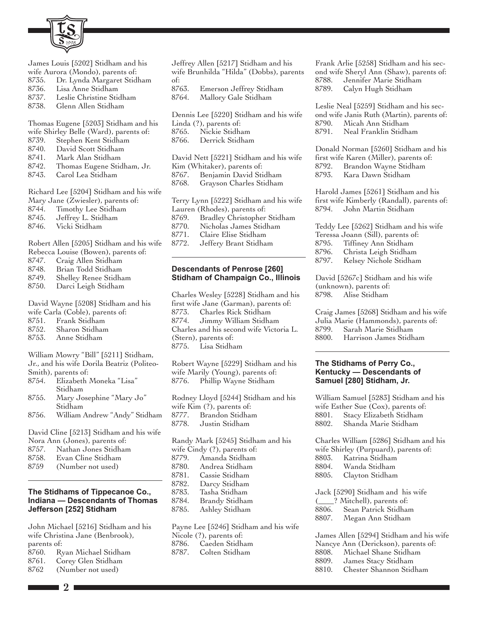

|       | James Louis [5202] Stidham and his       | Jeffre |
|-------|------------------------------------------|--------|
|       | wife Aurora (Mondo), parents of:         | wife B |
| 8735. | Dr. Lynda Margaret Stidham               | of:    |
| 8736. | Lisa Anne Stidham                        | 8763.  |
| 8737. | Leslie Christine Stidham                 | 8764.  |
| 8738. | Glenn Allen Stidham                      |        |
|       |                                          | Denni  |
|       | Thomas Eugene [5203] Stidham and his     | Linda  |
|       | wife Shirley Belle (Ward), parents of:   | 8765.  |
| 8739. | Stephen Kent Stidham                     | 8766.  |
| 8740. | David Scott Stidham                      |        |
| 8741. | Mark Alan Stidham                        | David  |
| 8742. | Thomas Eugene Stidham, Jr.               | Kim (  |
| 8743. | Carol Lea Stidham                        | 8767.  |
|       |                                          | 8768.  |
|       | Richard Lee [5204] Stidham and his wife  |        |
|       | Mary Jane (Zwiesler), parents of:        | Terry  |
| 8744. | Timothy Lee Stidham                      | Laurei |
|       | 8745. Jeffrey L. Stidham                 | 8769.  |
| 8746. | Vicki Stidham                            | 8770.  |
|       |                                          | 8771.  |
|       | Robert Allen [5205] Stidham and his wife | 8772.  |
|       | Rebecca Louise (Bowen), parents of:      |        |
|       | 8747. Craig Allen Stidham                |        |
|       | $n!$ $m!$ $1!$ $0!$ $1!$                 |        |

- 8748. Brian Todd Stidham
- 8749. Shelley Renee Stidham
- 8750. Darci Leigh Stidham

David Wayne [5208] Stidham and his wife Carla (Coble), parents of:

- 8751. Frank Stidham
- 8752. Sharon Stidham
- 8753. Anne Stidham

William Mowry "Bill" [5211] Stidham, Jr., and his wife Dorila Beatriz (Politeo-Smith), parents of:

- 8754. Elizabeth Moneka "Lisa" Stidham
- 8755. Mary Josephine "Mary Jo" Stidham
- 8756. William Andrew "Andy" Stidham

David Cline [5213] Stidham and his wife Nora Ann (Jones), parents of:

- 8757. Nathan Jones Stidham
- 8758. Evan Cline Stidham
- 8759 (Number not used)

# **The Stidhams of Tippecanoe Co., Indiana — Descendants of Thomas Jefferson [252] Stidham**

John Michael [5216] Stidham and his wife Christina Jane (Benbrook), parents of: 8760. Ryan Michael Stidham

- 8761. Corey Glen Stidham
- 8762 (Number not used)

| Jeffrey Allen [5217] Stidham and his    |                                        |  |
|-----------------------------------------|----------------------------------------|--|
| wife Brunhilda "Hilda" (Dobbs), parents |                                        |  |
| of:                                     |                                        |  |
|                                         | 8763. Emerson Jeffrey Stidham          |  |
| 8764.                                   | Mallory Gale Stidham                   |  |
|                                         |                                        |  |
|                                         | Dennis Lee [5220] Stidham and his wife |  |
|                                         | Linda $(?)$ , parents of:              |  |
|                                         | 8765. Nickie Stidham                   |  |
|                                         | 8766. Derrick Stidham                  |  |
|                                         |                                        |  |
|                                         | David Nett [5221] Stidham and his wife |  |
|                                         | Kim (Whitaker), parents of:            |  |
|                                         |                                        |  |
|                                         | 8767. Benjamin David Stidham           |  |
|                                         | 8768. Grayson Charles Stidham          |  |
|                                         |                                        |  |
|                                         | Terry Lynn [5222] Stidham and his wife |  |
|                                         | Lauren (Rhodes), parents of:           |  |
|                                         | 8769. Bradley Christopher Stidham      |  |

Nicholas James Stidham Claire Elise Stidham

Jeffery Brant Stidham

#### **Descendants of Penrose [260] Stidham of Champaign Co., Illinois**

Charles Wesley [5228] Stidham and his first wife Jane (Garman), parents of: 8773. Charles Rick Stidham 8774. Jimmy William Stidham Charles and his second wife Victoria L. (Stern), parents of: 8775. Lisa Stidham

Robert Wayne [5229] Stidham and his wife Marily (Young), parents of: 8776. Phillip Wayne Stidham

Rodney Lloyd [5244] Stidham and his wife Kim (?), parents of: 8777. Brandon Stidham 8778. Justin Stidham

Randy Mark [5245] Stidham and his wife Cindy (?), parents of: 8779. Amanda Stidham 8780. Andrea Stidham 8781. Cassie Stidham 8782. Darcy Stidham 8783. Tasha Stidham 8784. Brandy Stidham 8785. Ashley Stidham Payne Lee [5246] Stidham and his wife

Nicole (?), parents of: 8786. Caeden Stidham 8787. Colten Stidham

Frank Arlie [5258] Stidham and his second wife Sheryl Ann (Shaw), parents of: 8788. Jennifer Marie Stidham 8789. Calyn Hugh Stidham

Leslie Neal [5259] Stidham and his second wife Janis Ruth (Martin), parents of: 8790. Micah Ann Stidham 8791. Neal Franklin Stidham

Donald Norman [5260] Stidham and his first wife Karen (Miller), parents of: 8792. Brandon Wayne Stidham 8793. Kara Dawn Stidham

Harold James [5261] Stidham and his first wife Kimberly (Randall), parents of: 8794. John Martin Stidham

Teddy Lee [5262] Stidham and his wife Teressa Joann (Sill), parents of: 8795. Tiffiney Ann Stidham 8796. Christa Leigh Stidham 8797. Kelsey Nichole Stidham

David [5267c] Stidham and his wife (unknown), parents of: 8798. Alise Stidham

Craig James [5268] Stidham and his wife Julia Marie (Hammonds), parents of: 8799. Sarah Marie Stidham 8800. Harrison James Stidham

#### **The Stidhams of Perry Co., Kentucky — Descendants of Samuel [280] Stidham, Jr.**

William Samuel [5283] Stidham and his wife Esther Sue (Cox), parents of: 8801. Stacy Elizabeth Stidham 8802. Shanda Marie Stidham

Charles William [5286] Stidham and his wife Shirley (Purpuard), parents of: 8803. Katrina Stidham 8804. Wanda Stidham 8805. Clayton Stidham

Jack [5290] Stidham and his wife (\_\_\_\_? Mitchell), parents of: 8806. Sean Patrick Stidham 8807. Megan Ann Stidham

James Allen [5294] Stidham and his wife Nancye Ann (Derickson), parents of: 8808. Michael Shane Stidham 8809. James Stacy Stidham 8810. Chester Shannon Stidham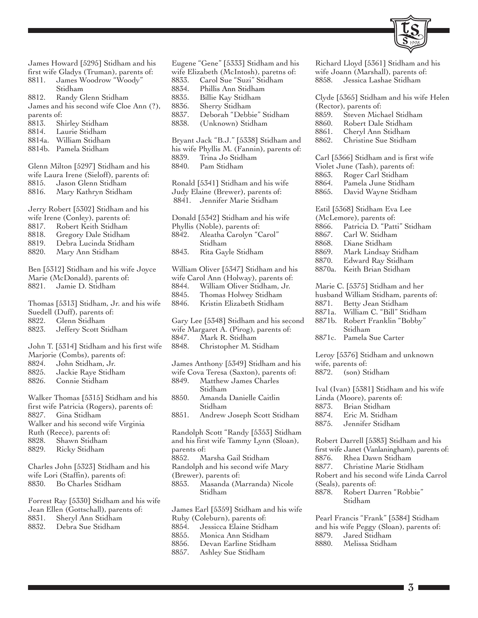

Richard Lloyd [5361] Stidham and his

| James Howard [5295] Stidham and his       | Eugene "Gene" [5333] Stidham and his     |
|-------------------------------------------|------------------------------------------|
| first wife Gladys (Truman), parents of:   | wife Elizabeth (McIntosh), paretns of:   |
| James Woodrow "Woody"<br>8811.            | 8833.<br>Carol Sue "Suzi" Stidham        |
| Stidham                                   | 8834.<br>Phillis Ann Stidham             |
|                                           |                                          |
| 8812.<br>Randy Glenn Stidham              | 8835.<br>Billie Kay Stidham              |
| James and his second wife Cloe Ann (?),   | 8836.<br>Sherry Stidham                  |
| parents of:                               | 8837.<br>Deborah "Debbie" Stidham        |
| Shirley Stidham<br>8813.                  | 8838.<br>(Unknown) Stidham               |
| 8814. Laurie Stidham                      |                                          |
| 8814a. William Stidham                    | Bryant Jack "B.J." [5338] Stidham and    |
| 8814b. Pamela Stidham                     |                                          |
|                                           | his wife Phyllis M. (Fannin), parents of |
|                                           | Trina Jo Stidham<br>8839.                |
| Glenn Milton [5297] Stidham and his       | 8840.<br>Pam Stidham                     |
| wife Laura Irene (Sieloff), parents of:   |                                          |
| 8815.<br>Jason Glenn Stidham              | Ronald [5341] Stidham and his wife       |
| 8816.<br>Mary Kathryn Stidham             | Judy Elaine (Brewer), parents of:        |
|                                           | 8841. Jennifer Marie Stidham             |
|                                           |                                          |
| Jerry Robert [5302] Stidham and his       |                                          |
| wife Irene (Conley), parents of:          | Donald [5342] Stidham and his wife       |
| 8817.<br>Robert Keith Stidham             | Phyllis (Noble), parents of:             |
| 8818.<br>Gregory Dale Stidham             | 8842.<br>Aleatha Carolyn "Carol"         |
| 8819.<br>Debra Lucinda Stidham            | Stidham                                  |
| 8820.<br>Mary Ann Stidham                 | 8843.<br>Rita Gayle Stidham              |
|                                           |                                          |
|                                           |                                          |
| Ben [5312] Stidham and his wife Joyce     | William Oliver [5347] Stidham and his    |
| Marie (McDonald), parents of:             | wife Carol Ann (Holway), parents of:     |
| Jamie D. Stidham<br>8821.                 | 8844.<br>William Oliver Stidham, Jr.     |
|                                           | 8845.<br>Thomas Holwey Stidham           |
| Thomas [5313] Stidham, Jr. and his wife   | 8846.<br>Kristin Elizabeth Stidham       |
| Suedell (Duff), parents of:               |                                          |
|                                           |                                          |
| 8822.<br>Glenn Stidham                    | Gary Lee [5348] Stidham and his secon    |
| 8823.<br>Jeffery Scott Stidham            | wife Margaret A. (Pirog), parents of:    |
|                                           | 8847.<br>Mark R. Stidham                 |
| John T. [5314] Stidham and his first wife | 8848.<br>Christopher M. Stidham          |
| Marjorie (Combs), parents of:             |                                          |
| 8824.<br>John Stidham, Jr.                | James Anthony [5349] Stidham and his     |
| 8825.<br>Jackie Raye Stidham              |                                          |
|                                           | wife Cova Teresa (Saxton), parents of:   |
| 8826.<br>Connie Stidham                   | 8849.<br>Matthew James Charles           |
|                                           | Stidham                                  |
| Walker Thomas [5315] Stidham and his      | 8850.<br>Amanda Danielle Caitlin         |
| first wife Patricia (Rogers), parents of: | Stidham                                  |
| 8827.<br>Gina Stidham                     | Andrew Joseph Scott Stidham<br>8851.     |
| Walker and his second wife Virginia       |                                          |
|                                           |                                          |
| Ruth (Reece), parents of:                 | Randolph Scott "Randy [5353] Stidhan     |
| 8828.<br>Shawn Stidham                    | and his first wife Tammy Lynn (Sloan),   |
| 8829.<br>Ricky Stidham                    | parents of:                              |
|                                           | Marsha Gail Stidham<br>8852.             |
| Charles John [5323] Stidham and his       | Randolph and his second wife Mary        |
| wife Lori (Staffin), parents of:          | (Brewer), parents of:                    |
|                                           |                                          |
| 8830.<br>Bo Charles Stidham               | 8853.<br>Masanda (Marranda) Nicole       |
|                                           | Stidham                                  |
| Forrest Ray [5330] Stidham and his wife   |                                          |
| Jean Ellen (Gottschall), parents of:      | James Earl [5359] Stidham and his wife   |
| 8831.<br>Sheryl Ann Stidham               | Ruby (Coleburn), parents of:             |
| 8832.<br>Debra Sue Stidham                | 8854. Jessicca Elaine Stidham            |

| $L_{\rm H}$ and $L_{\rm H}$ | $\sim$ $\sim$ $\sim$<br>Foood prighter of<br>wife Elizabeth (McIntosh), paretns of: |
|-----------------------------|-------------------------------------------------------------------------------------|
|                             | 8833. Carol Sue "Suzi" Stidham                                                      |
| 8834.                       | Phillis Ann Stidham                                                                 |
|                             |                                                                                     |
|                             | 8835. – Billie Kay Stidham<br>8836. – Sherry Stidham                                |
|                             | 8837. Deborah "Debbie" Stidham                                                      |
|                             |                                                                                     |
| 8838.                       | (Unknown) Stidham                                                                   |
|                             | Bryant Jack "B.J." [5338] Stidham and                                               |
|                             | his wife Phyllis M. (Fannin), parents of:                                           |
|                             | 8839. Trina Jo Stidham                                                              |
|                             | 8840. Pam Stidham                                                                   |
|                             | Ronald [5341] Stidham and his wife                                                  |
|                             | Judy Elaine (Brewer), parents of:                                                   |
|                             | 8841. Jennifer Marie Stidham                                                        |
|                             |                                                                                     |
|                             | Donald [5342] Stidham and his wife                                                  |
|                             | Phyllis (Noble), parents of:                                                        |
|                             | 8842. Aleatha Carolyn "Carol"                                                       |
|                             | Stidham                                                                             |
|                             | 8843. Rita Gayle Stidham                                                            |
|                             | William Oliver [5347] Stidham and his                                               |
|                             | wife Carol Ann (Holway), parents of:                                                |
|                             | 8844. William Oliver Stidham, Jr.                                                   |
|                             |                                                                                     |
|                             | 8845. Thomas Holwey Stidham<br>8846. Kristin Elizabeth Stidham                      |
|                             |                                                                                     |
|                             | Gary Lee [5348] Stidham and his second                                              |
|                             | wife Margaret A. (Pirog), parents of:                                               |
|                             | 8847. Mark R. Stidham                                                               |
|                             | 8848. Christopher M. Stidham                                                        |
|                             | James Anthony [5349] Stidham and his                                                |
|                             | wife Cova Teresa (Saxton), parents of:                                              |
|                             | 8849. Matthew James Charles                                                         |
|                             | Stidham                                                                             |
|                             | 8850. Amanda Danielle Caitlin                                                       |
|                             | Stidham                                                                             |
|                             | 8851. Andrew Joseph Scott Stidham                                                   |
|                             |                                                                                     |
|                             | Randolph Scott "Randy [5353] Stidham                                                |
|                             | and his first wife Tammy Lynn (Sloan),                                              |
| parents of:                 |                                                                                     |
| 8852.                       | Marsha Gail Stidham                                                                 |
|                             | Randolph and his second wife Mary                                                   |
|                             | (Brewer), parents of:                                                               |
|                             | 8853. Masanda (Marranda) Nicole                                                     |
|                             | Stidham                                                                             |
|                             |                                                                                     |
|                             | James Earl [5359] Stidham and his wife                                              |
|                             | Ruby (Coleburn), parents of:                                                        |
|                             | 8854. Jessicca Elaine Stidham                                                       |
|                             | 8855. Monica Ann Stidham                                                            |
|                             | 8856.     Devan Earline Stidham                                                     |
|                             | 8857. Ashley Sue Stidham                                                            |
|                             |                                                                                     |

wife Joann (Marshall), parents of: 8858. Jessica Lashae Stidham Clyde [5365] Stidham and his wife Helen (Rector), parents of: 8859. Steven Michael Stidham 8860. Robert Dale Stidham 8861. Cheryl Ann Stidham 8862. Christine Sue Stidham Carl [5366] Stidham and is first wife Violet June (Tash), parents of: 8863. Roger Carl Stidham 8864. Pamela June Stidham 8865. David Wayne Stidham Estil [5368] Stidham Eva Lee (McLemore), parents of: 8866. Patricia D. "Patti" Stidham 8867. Carl W. Stidham 8868. Diane Stidham 8869. Mark Lindsay Stidham 8870. Edward Ray Stidham 8870a. Keith Brian Stidham Marie C. [5375] Stidham and her husband William Stidham, parents of: 8871. Betty Jean Stidham 8871a. William C. "Bill" Stidham 8871b. Robert Franklin "Bobby" Stidham 8871c. Pamela Sue Carter Leroy [5376] Stidham and unknown wife, parents of: 8872. (son) Stidham Ival (Ivan) [5381] Stidham and his wife Linda (Moore), parents of: 8873. Brian Stidham 8874. Eric M. Stidham 8875. Jennifer Stidham Robert Darrell [5383] Stidham and his first wife Janet (Vanlaningham), parents of: 8876. Rhea Dawn Stidham<br>8877. Christine Marie Stidh Christine Marie Stidham Robert and his second wife Linda Carrol (Seals), parents of: 8878. Robert Darren "Robbie" Stidham

Pearl Francis "Frank" [5384] Stidham and his wife Peggy (Sloan), parents of: 8879. Jared Stidham 8880. Melissa Stidham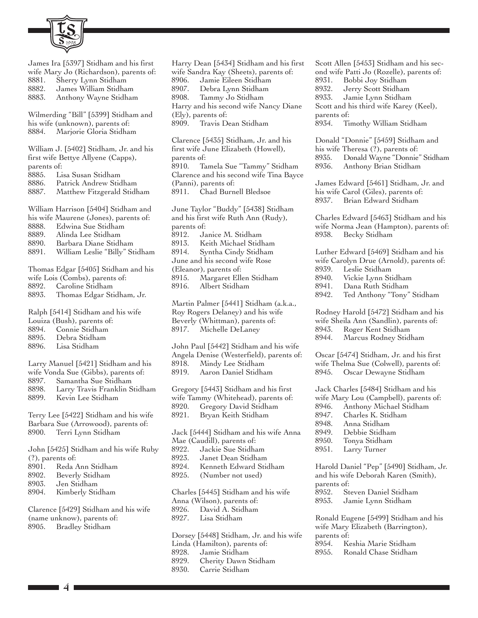

parents of:

James Ira [5397] Stidham and his first wife Mary Jo (Richardson), parents of: 8881. Sherry Lynn Stidham 8882. James William Stidham 8883. Anthony Wayne Stidham Wilmerding "Bill" [5399] Stidham and his wife (unknown), parents of: 8884. Marjorie Gloria Stidham William J. [5402] Stidham, Jr. and his first wife Bettye Allyene (Capps), 8885. Lisa Susan Stidham 8886. Patrick Andrew Stidham 8887. Matthew Fitzgerald Stidham William Harrison [5404] Stidham and his wife Maurene (Jones), parents of: 8888. Edwina Sue Stidham 8889. Alinda Lee Stidham 8890. Barbara Diane Stidham 8891. William Leslie "Billy" Stidham Thomas Edgar [5405] Stidham and his wife Lois (Combs), parents of: 8892. Caroline Stidham 8893. Thomas Edgar Stidham, Jr. Ralph [5414] Stidham and his wife Louiza (Bush), parents of: 8894. Connie Stidham 8895. Debra Stidham 8896. Lisa Stidham Larry Manuel [5421] Stidham and his wife Vonda Sue (Gibbs), parents of: 8897. Samantha Sue Stidham 8898. Larry Travis Franklin Stidham 8899. Kevin Lee Stidham Terry Lee [5422] Stidham and his wife Barbara Sue (Arrowood), parents of: 8900. Terri Lynn Stidham John [5425] Stidham and his wife Ruby 8901. Reda Ann Stidham 8902. Beverly Stidham 8903. Jen Stidham 8904. Kimberly Stidham Clarence [5429] Stidham and his wife (name unknow), parents of: 8905. Bradley Stidham Harry Dean [5434] Stidham and his first wife Sandra Kay (Sheets), parents of: 8906. Jamie Eileen Stidham 8907. Debra Lynn Stidham 8908. Tammy Jo Stidham Harry and his second wife Nancy Diane (Ely), parents of: 8909. Travis Dean Stidham Clarence [5435] Stidham, Jr. and his first wife June Elizabeth (Howell), parents of: 8910. Tamela Sue "Tammy" Stidham Clarence and his second wife Tina Bayce (Panni), parents of: 8911. Chad Burnell Bledsoe June Taylor "Buddy" [5438] Stidham and his first wife Ruth Ann (Rudy), parents of: 8912. Janice M. Stidham 8913. Keith Michael Stidham 8914. Syntha Cindy Stidham June and his second wife Rose (Eleanor), parents of: 8915. Margaret Ellen Stidham 8916. Albert Stidham Martin Palmer [5441] Stidham (a.k.a., Roy Rogers Delaney) and his wife Beverly (Whittman), parents of: 8917. Michelle DeLaney John Paul [5442] Stidham and his wife Angela Denise (Westerfield), parents of: 8918. Mindy Lee Stidham 8919. Aaron Daniel Stidham Gregory [5443] Stidham and his first wife Tammy (Whitehead), parents of: 8920. Gregory David Stidham 8921. Bryan Keith Stidham Jack [5444] Stidham and his wife Anna Mae (Caudill), parents of: 8922. Jackie Sue Stidham 8923. Janet Dean Stidham 8924. Kenneth Edward Stidham 8925. (Number not used) Charles [5445] Stidham and his wife Anna (Wilson), parents of: 8926. David A. Stidham 8927. Lisa Stidham

Dorsey [5448] Stidham, Jr. and his wife Linda (Hamilton), parents of: 8928. Jamie Stidham 8929. Cherity Dawn Stidham 8930. Carrie Stidham

Scott Allen [5453] Stidham and his second wife Patti Jo (Rozelle), parents of: 8931. Bobbi Joy Stidham 8932. Jerry Scott Stidham 8933. Jamie Lynn Stidham Scott and his third wife Karey (Keel), parents of: 8934. Timothy William Stidham Donald "Donnie" [5459] Stidham and his wife Theresa (?), parents of: 8935. Donald Wayne "Donnie" Stidham 8936. Anthony Brian Stidham James Edward [5461] Stidham, Jr. and

his wife Carol (Giles), parents of: 8937. Brian Edward Stidham

Charles Edward [5463] Stidham and his wife Norma Jean (Hampton), parents of: 8938. Becky Stidham

Luther Edward [5469] Stidham and his wife Carolyn Drue (Arnold), parents of: 8939. Leslie Stidham

8940. Vickie Lynn Stidham

8941. Dana Ruth Stidham

8942. Ted Anthony "Tony" Stidham

Rodney Harold [5472] Stidham and his wife Sheila Ann (Sandlin), parents of: 8943. Roger Kent Stidham 8944. Marcus Rodney Stidham

Oscar [5474] Stidham, Jr. and his first wife Thelma Sue (Colwell), parents of: 8945. Oscar Dewayne Stidham

Jack Charles [5484] Stidham and his wife Mary Lou (Campbell), parents of: 8946. Anthony Michael Stidham 8947. Charles K. Stidham 8948. Anna Stidham 8949. Debbie Stidham 8950. Tonya Stidham 8951. Larry Turner Harold Daniel "Pep" [5490] Stidham, Jr. and his wife Deborah Karen (Smith), parents of: 8952. Steven Daniel Stidham 8953. Jamie Lynn Stidham

Ronald Eugene [5499] Stidham and his wife Mary Elizabeth (Barrington), parents of: 8954. Keshia Marie Stidham 8955. Ronald Chase Stidham

**4**

(?), parents of: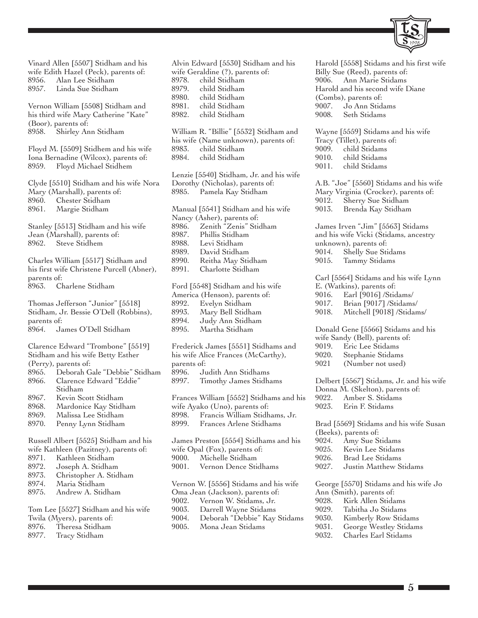

Vinard Allen [5507] Stidham and his wife Edith Hazel (Peck), parents of: 8956. Alan Lee Stidham 8957. Linda Sue Stidham

Vernon William [5508] Stidham and his third wife Mary Catherine "Kate" (Boor), parents of: 8958. Shirley Ann Stidham

Floyd M. [5509] Stidhem and his wife Iona Bernadine (Wilcox), parents of: 8959. Floyd Michael Stidhem

Clyde [5510] Stidham and his wife Nora Mary (Marshall), parents of: 8960. Chester Stidham 8961. Margie Stidham

Stanley [5513] Stidham and his wife Jean (Marshall), parents of: 8962. Steve Stidhem

Charles William [5517] Stidham and his first wife Christene Purcell (Abner), parents of: 8963. Charlene Stidham

Thomas Jefferson "Junior" [5518] Stidham, Jr. Bessie O'Dell (Robbins), parents of: 8964. James O'Dell Stidham

Clarence Edward "Trombone" [5519] Stidham and his wife Betty Esther (Perry), parents of: 8965. Deborah Gale "Debbie" Stidham 8966. Clarence Edward "Eddie" Stidham 8967. Kevin Scott Stidham 8968. Mardonice Kay Stidham 8969. Malissa Lee Stidham 8970. Penny Lynn Stidham Russell Albert [5525] Stidham and his

wife Kathleen (Pazitney), parents of: 8971. Kathleen Stidham 8972. Joseph A. Stidham 8973. Christopher A. Stidham 8974. Maria Stidham 8975. Andrew A. Stidham Tom Lee [5527] Stidham and his wife

Twila (Myers), parents of: 8976. Theresa Stidham 8977. Tracy Stidham

Alvin Edward [5530] Stidham and his wife Geraldine (?), parents of: 8978. child Stidham 8979. child Stidham 8980. child Stidham 8981. child Stidham 8982. child Stidham

William R. "Billie" [5532] Stidham and his wife (Name unknown), parents of: 8983. child Stidham 8984. child Stidham

Lenzie [5540] Stidham, Jr. and his wife Dorothy (Nicholas), parents of: 8985. Pamela Kay Stidham

Manual [5541] Stidham and his wife Nancy (Asher), parents of: 8986. Zenith "Zenis" Stidham 8987. Phillis Stidham 8988. Levi Stidham 8989. David Stidham 8990. Reitha May Stidham 8991. Charlotte Stidham Ford [5548] Stidham and his wife America (Henson), parents of: 8992. Evelyn Stidham 8993. Mary Bell Stidham 8994. Judy Ann Stidham 8995. Martha Stidham Frederick James [5551] Stidhams and his wife Alice Frances (McCarthy), parents of:

8996. Judith Ann Stidhams 8997. Timothy James Stidhams

Frances William [5552] Stidhams and his wife Ayako (Uno), parents of: 8998. Francis William Stidhams, Jr. 8999. Frances Arlene Stidhams

James Preston [5554] Stidhams and his wife Opal (Fox), parents of: 9000. Michelle Stidham 9001. Vernon Dence Stidhams

Vernon W. [5556] Stidams and his wife Oma Jean (Jackson), parents of: 9002. Vernon W. Stidams, Jr. 9003. Darrell Wayne Stidams 9004. Deborah "Debbie" Kay Stidams 9005. Mona Jean Stidams

Harold [5558] Stidams and his first wife Billy Sue (Reed), parents of: 9006. Ann Marie Stidams Harold and his second wife Diane (Combs), parents of: 9007. Jo Ann Stidams Seth Stidams

Wayne [5559] Stidams and his wife Tracy (Tillet), parents of: 9009. child Stidams 9010. child Stidams 9011. child Stidams

A.B. "Joe" [5560] Stidams and his wife Mary Virginia (Crocker), parents of: 9012. Sherry Sue Stidham 9013. Brenda Kay Stidham

James Irven "Jim" [5563] Stidams and his wife Vicki (Stidams, ancestry unknown), parents of: 9014. Shelly Sue Stidams 9015. Tammy Stidams

Carl [5564] Stidams and his wife Lynn E. (Watkins), parents of: 9016. Earl [9016] /Stidams/ 9017. Brian [9017] /Stidams/<br>9018. Mitchell [9018] /Stidan Mitchell [9018] /Stidams/

Donald Gene [5566] Stidams and his wife Sandy (Bell), parents of: 9019. Eric Lee Stidams 9020. Stephanie Stidams 9021 (Number not used)

Delbert [5567] Stidams, Jr. and his wife Donna M. (Skelton), parents of: 9022. Amber S. Stidams 9023. Erin F. Stidams

Brad [5569] Stidams and his wife Susan (Beeks), parents of:

- 9024. Amy Sue Stidams
- Kevin Lee Stidams
- 9026. Brad Lee Stidams
- 9027. Justin Matthew Stidams

George [5570] Stidams and his wife Jo Ann (Smith), parents of:

- 9028. Kirk Allen Stidams
- 9029. Tabitha Jo Stidams
- 9030. Kimberly Row Stidams<br>9031. George Westley Stidam
- George Westley Stidams
- 9032. Charles Earl Stidams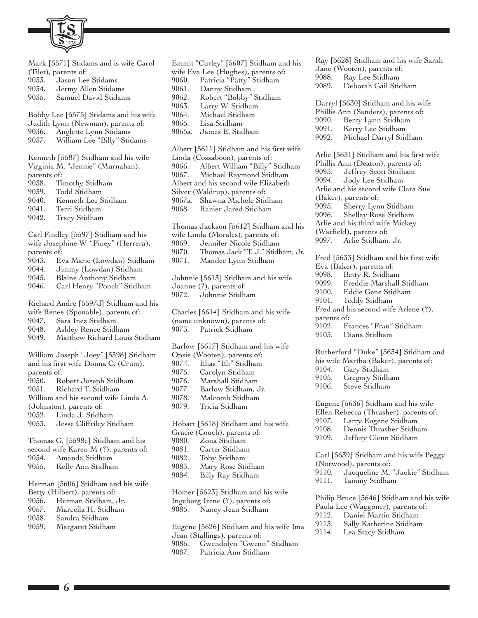

Mark [5571] Stidams and is wife Carol (Tilet), parents of: 9033. Jason Lee Stidams 9034. Jermy Allen Stidams 9035. Samuel David Stidams Bobby Lee [5575] Stidams and his wife Judith Lynn (Newman), parents of: 9036. Anglette Lynn Stidams 9037. William Lee "Billy" Stidams Kenneth [5587] Stidham and his wife Virginia M. "Jennie" (Murnahan), parents of: 9038. Timothy Stidham 9039. Todd Stidham 9040. Kenneth Lee Stidham 9041. Terri Stidham 9042. Tracy Stidham Carl Findley [5597] Stidham and his wife Josephine W. "Piney" (Herrera), parents of: 9043. Eva Marie (Lowdan) Stidham 9044. Jimmy (Lowdan) Stidham 9045. Blaine Anthony Stidham 9046. Carl Henry "Ponch" Stidham Richard Andre [5597d] Stidham and his wife Renee (Sponable), parents of: 9047. Sara Inez Stidham 9048. Ashley Renee Stidham 9049. Matthew Richard Louis Stidham William Joseph "Joey" [5598] Stidham and his first wife Donna C. (Crum), parents of: 9050. Robert Joseph Stidham 9051. Richard T. Stidham William and his second wife Linda A. (Johnston), parents of: 9052. Linda J. Stidham 9053. Jesse Cliffriley Stidham Thomas G. [5598c] Stidham and his second wife Karen M (?), parents of: 9054. Amanda Stidham 9055. Kelly Ann Stidham Herman [5606] Stidham and his wife Betty (Hilbert), parents of: 9056. Herman Stidham, Jr. 9057. Marcella H. Stidham 9058. Sandra Stidham 9059. Margaret Stidham

**6**

Emmit "Curley" [5607] Stidham and his wife Eva Lee (Hughes), parents of: 9060. Patricia "Patty" Stidham Danny Stidham 9062. Robert "Bobby" Stidham 9063. Larry W. Stidham Michael Stidham 9065. Lisa Stidham 9065a. James E. Stidham Albert [5611] Stidham and his first wife Linda (Cossaboon), parents of: 9066. Albert William "Billy" Stidham 9067. Michael Raymond Stidham Albert and his second wife Elizabeth Silver (Waldrup), parents of: 9067a. Shawna Michele Stidham 9068. Ranier Jared Stidham Thomas Jackson [5612] Stidham and his wife Linda (Morales), parents of: 9069. Jennifer Nicole Stidham 9070. Thomas Jack "T. J." Stidham, Jr. 9071. Mandee Lynn Stidham Johnnie [5613] Stidham and his wife Joanne (?), parents of: 9072. Johnnie Stidham Charles [5614] Stidham and his wife (name unknown), parents of: 9073. Patrick Stidham Barlow [5617] Stidham and his wife Opsie (Wooten), parents of: 9074. Elias "Eli" Stidham 9075. Carolyn Stidham 9076. Marshall Stidham 9077. Barlow Stidham, Jr. 9078. Malcomb Stidham 9079. Tricia Stidham Hobart [5618] Stidham and his wife Gracie (Couch), parents of: 9080. Zona Stidham 9081. Carter Stidham 9082. Toby Stidham 9083. Mary Rose Stidham 9084. Billy Ray Stidham Homer [5623] Stidham and his wife Ingeborg Irene (?), parents of: 9085. Nancy Jean Stidham Eugene [5626] Stidham and his wife Ima Jean (Stallings), parents of: 9086. Gwendolyn "Gwenn" Stidham Patricia Ann Stidham

Ray [5628] Stidham and his wife Sarah Jane (Wooten), parents of: 9088. Ray Lee Stidham 9089. Deborah Gail Stidham Darryl [5630] Stidham and his wife Phillis Ann (Sanders), parents of: 9090. Berry Lynn Stidham<br>9091. Kerry Lee Stidham Kerry Lee Stidham 9092. Michael Darryl Stidham Arlie [5631] Stidham and his first wife Phillis Ann (Deaton), parents of: 9093. Jeffrey Scott Stidham<br>9094. Jody Lee Stidham Jody Lee Stidham Arlie and his second wife Clara Sue (Baker), parents of: 9095. Sherry Lynn Stidham 9096. Shellay Rose Stidham Arlie and his third wife Mickey (Warfield), parents of: 9097. Arlie Stidham, Jr. Fred [5633] Stidham and his first wife Eva (Baker), parents of: 9098. Betty R. Stidham<br>9099. Freddie Marshall 9099. Freddie Marshall Stidham Eddie Gene Stidham 9101. Teddy Stidham Fred and his second wife Arlene (?), parents of: 9102. Frances "Fran" Stidham 9103. Diana Stidham Rutherford "Duke" [5634] Stidham and his wife Martha (Baker), parents of: 9104. Gary Stidham 9105. Gregory Stidham 9106. Steve Stidham Eugene [5636] Stidham and his wife Ellen Rebecca (Thrasher), parents of: 9107. Larry Eugene Stidham 9108. Dennis Thrasher Stidham<br>9109. Jeffery Glenn Stidham Jeffery Glenn Stidham Carl [5639] Stidham and his wife Peggy (Norwood), parents of: 9110. Jacqueline M. "Jackie" Stidham 9111. Tammy Stidham Philip Bruce [5646] Stidham and his wife Paula Lee (Waggoner), parents of: 9112. Daniel Martin Stidham 9113. Sally Katherine Stidham 9114. Lea Stacy Stidham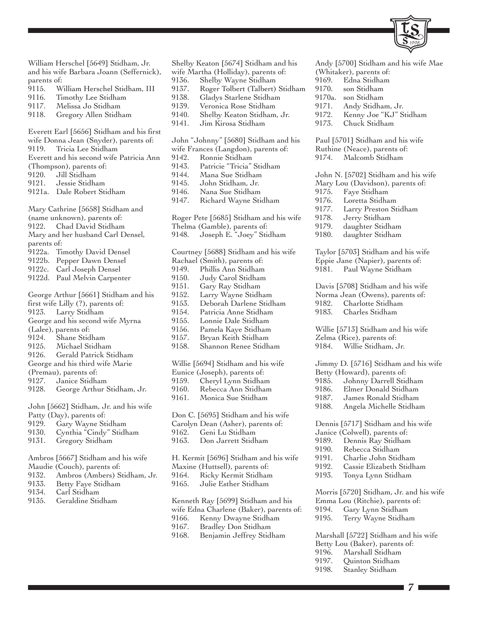

William Herschel [5649] Stidham, Jr. and his wife Barbara Joann (Seffernick), parents of:<br>9115. W

- 9115. William Herschel Stidham, III
- 9116. Timothy Lee Stidham<br>9117. Melissa Jo Stidham
- Melissa Jo Stidham
- 9118. Gregory Allen Stidham

Everett Earl [5656] Stidham and his first wife Donna Jean (Snyder), parents of: 9119. Tricia Lee Stidham Everett and his second wife Patricia Ann (Thompson), parents of: 9120. Jill Stidham 9121. Jessie Stidham 9121a. Dale Robert Stidham

Mary Cathrine [5658] Stidham and (name unknown), parents of: 9122. Chad David Stidham Mary and her husband Carl Densel, parents of: 9122a. Timothy David Densel 9122b. Pepper Dawn Densel 9122c. Carl Joseph Densel 9122d. Paul Melvin Carpenter George Arthur [5661] Stidham and his

first wife Lilly (?), parents of: 9123. Larry Stidham George and his second wife Myrna (Lalee), parents of: 9124. Shane Stidham 9125. Michael Stidham 9126. Gerald Patrick Stidham George and his third wife Marie (Premau), parents of: 9127. Janice Stidham 9128. George Arthur Stidham, Jr. John [5662] Stidham, Jr. and his wife Patty (Day), parents of:

- 9129. Gary Wayne Stidham
- 9130. Cynthia "Cindy" Stidham
- 9131. Gregory Stidham

Ambros [5667] Stidham and his wife Maudie (Couch), parents of: 9132. Ambros (Ambers) Stidham, Jr. 9133. Betty Faye Stidham

- 9134. Carl Stidham
- 9135. Geraldine Stidham

|       | Shelby Keaton [5674] Stidham and his               |
|-------|----------------------------------------------------|
|       | wife Martha (Holliday), parents of:                |
| 9136. | Shelby Wayne Stidham                               |
| 9137. | Roger Tolbert (Talbert) Stidham                    |
| 9138. | Gladys Starlene Stidham                            |
| 9139. | Veronica Rose Stidham                              |
| 9140. | Shelby Keaton Stidham, Jr.                         |
| 9141. | Jim Kirosa Stidham                                 |
|       |                                                    |
|       | John "Johnny" [5680] Stidham and his               |
|       | wife Frances (Langdon), parents of:                |
| 9142. | Ronnie Stidham                                     |
| 9143. | Patricie "Tricia" Stidham                          |
| 9144. | Mana Sue Stidham                                   |
| 9145. | John Stidham, Jr.                                  |
| 9146. | Nana Sue Stidham                                   |
| 9147. | Richard Wayne Stidham                              |
|       |                                                    |
|       | Roger Pete [5685] Stidham and his wife             |
|       | Thelma (Gamble), parents of:                       |
|       | 9148. Joseph E. "Joey" Stidham                     |
|       |                                                    |
|       | Courtney [5688] Stidham and his wife               |
|       | Rachael (Smith), parents of:                       |
| 9149. | Phillis Ann Stidham                                |
| 9150. | Judy Carol Stidham                                 |
| 9151. | Gary Ray Stidham                                   |
| 9152. | Larry Wayne Stidham                                |
| 9153. | Deborah Darlene Stidham                            |
| 9154. | Patricia Anne Stidham                              |
| 9155. | Lonnie Dale Stidham                                |
| 9156. | Pamela Kaye Stidham                                |
| 9157. | Bryan Keith Stidham                                |
| 9158. | Shannon Renee Stidham                              |
|       |                                                    |
|       | Willie [5694] Stidham and his wife                 |
|       | Eunice (Joseph), parents of:                       |
|       | 9159. Cheryl Lynn Stidham                          |
|       | 9160. Rebecca Ann Stidham                          |
|       | 9161. Monica Sue Stidham                           |
|       |                                                    |
|       | Don C. [5695] Stidham and his wife                 |
|       | Carolyn Dean (Asher), parents of:                  |
|       | 9162. Geni Lu Stidham                              |
|       | 9163. Don Jarrett Stidham                          |
|       | H. Kermit [5696] Stidham and his wife              |
|       | Maxine (Huttsell), parents of:                     |
|       | 9164. Ricky Kermit Stidham                         |
|       | 9165. Julie Esther Stidham                         |
|       |                                                    |
|       | Kenneth Ray [5699] Stidham and his                 |
|       | rife Edna Charless (Balcan), non<br>$\overline{c}$ |

wife Edna Charlene (Baker), parents of: 9166. Kenny Dwayne Stidham 9167. Bradley Don Stidham

9168. Benjamin Jeffrey Stidham

Andy [5700] Stidham and his wife Mae (Whitaker), parents of: 9169. Edna Stidham 9170. son Stidham 9170a. son Stidham<br>9171. Andy Stidha Andy Stidham, Jr. 9172. Kenny Joe "KJ" Stidham 9173. Chuck Stidham Paul [5701] Stidham and his wife Ruthine (Neace), parents of: 9174. Malcomb Stidham John N. [5702] Stidham and his wife Mary Lou (Davidson), parents of: 9175. Faye Stidham 9176. Loretta Stidham 9177. Larry Preston Stidham<br>9178. Jerry Stidham Jerry Stidham 9179. daughter Stidham<br>9180. daughter Stidham daughter Stidham Taylor [5703] Stidham and his wife Eppie Jane (Napier), parents of: 9181. Paul Wayne Stidham Davis [5708] Stidham and his wife Norma Jean (Owens), parents of:

9182. Charlotte Stidham<br>9183. Charles Stidham Charles Stidham

Willie [5713] Stidham and his wife Zelma (Rice), parents of: 9184. Willie Stidham, Jr.

Jimmy D. [5716] Stidham and his wife Betty (Howard), parents of:

- 9185. Johnny Darrell Stidham
- 9186. Elmer Donald Stidham
- 9187. James Ronald Stidham
- 9188. Angela Michelle Stidham

Dennis [5717] Stidham and his wife Janice (Colwell), parents of:

- 9189. Dennis Ray Stidham
- 9190. Rebecca Stidham
- 9191. Charlie John Stidham
- 9192. Cassie Elizabeth Stidham
- 9193. Tonya Lynn Stidham
- 

Morris [5720] Stidham, Jr. and his wife

- Emma Lou (Ritchie), parents of:
- 9194. Gary Lynn Stidham<br>9195. Terry Wayne Stidha
- Terry Wayne Stidham

Marshall [5722] Stidham and his wife Betty Lou (Baker), parents of: 9196. Marshall Stidham 9197. Quinton Stidham 9198. Stanley Stidham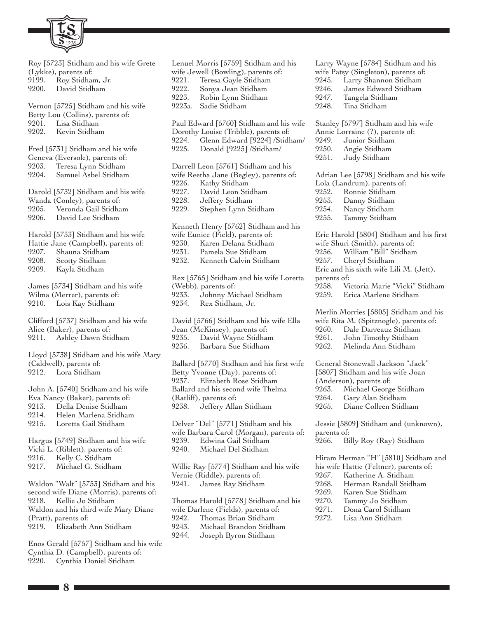

Roy [5723] Stidham and his wife Grete (Lykke), parents of: 9199. Roy Stidham, Jr. 9200. David Stidham Vernon [5725] Stidham and his wife Betty Lou (Collins), parents of: 9201. Lisa Stidham 9202. Kevin Stidham Fred [5731] Stidham and his wife Geneva (Eversole), parents of: 9203. Teresa Lynn Stidham 9204. Samuel Asbel Stidham Darold [5732] Stidham and his wife Wanda (Conley), parents of: 9205. Veronda Gail Stidham 9206. David Lee Stidham Harold [5733] Stidham and his wife Hattie Jane (Campbell), parents of: 9207. Shauna Stidham 9208. Scotty Stidham 9209. Kayla Stidham James [5734] Stidham and his wife Wilma (Merrer), parents of: 9210. Lois Kay Stidham Clifford [5737] Stidham and his wife Alice (Baker), parents of: 9211. Ashley Dawn Stidham Lloyd [5738] Stidham and his wife Mary (Caldwell), parents of: 9212. Lora Stidham John A. [5740] Stidham and his wife Eva Nancy (Baker), parents of: 9213. Della Denise Stidham 9214. Helen Marlena Stidham 9215. Loretta Gail Stidham Hargus [5749] Stidham and his wife Vicki L. (Riblett), parents of: 9216. Kelly C. Stidham 9217. Michael G. Stidham Waldon "Walt" [5753] Stidham and his second wife Diane (Morris), parents of: 9218. Kellie Jo Stidham Waldon and his third wife Mary Diane

(Pratt), parents of: 9219. Elizabeth Ann Stidham

Enos Gerald [5757] Stidham and his wife Cynthia D. (Campbell), parents of: 9220. Cynthia Doniel Stidham

Lenuel Morris [5759] Stidham and his wife Jewell (Bowling), parents of: 9221. Teresa Gayle Stidham<br>9222. Sonya Jean Stidham Sonya Jean Stidham 9223. Robin Lynn Stidham 9223a. Sadie Stidham Paul Edward [5760] Stidham and his wife Dorothy Louise (Tribble), parents of: 9224. Glenn Edward [9224] /Stidham/ 9225. Donald [9225] /Stidham/ Darrell Leon [5761] Stidham and his wife Reetha Jane (Begley), parents of: 9226. Kathy Stidham 9227. David Leon Stidham 9228. Jeffery Stidham 9229. Stephen Lynn Stidham Kenneth Henry [5762] Stidham and his wife Eunice (Field), parents of: 9230. Karen Delana Stidham 9231. Pamela Sue Stidham 9232. Kenneth Calvin Stidham Rex [5765] Stidham and his wife Loretta (Webb), parents of: 9233. Johnny Michael Stidham 9234. Rex Stidham, Jr. David [5766] Stidham and his wife Ella Jean (McKinsey), parents of: 9235. David Wayne Stidham 9236. Barbara Sue Stidham Ballard [5770] Stidham and his first wife Betty Yvonne (Day), parents of: 9237. Elizabeth Rose Stidham Ballard and his second wife Thelma (Ratliff), parents of: 9238. Jeffery Allan Stidham Delver "Del" [5771] Stidham and his wife Barbara Carol (Morgan), parents of: 9239. Edwina Gail Stidham 9240. Michael Del Stidham Willie Ray [5774] Stidham and his wife Vernie (Riddle), parents of: 9241. James Ray Stidham

Thomas Harold [5778] Stidham and his wife Darlene (Fields), parents of: 9242. Thomas Brian Stidham 9243. Michael Brandon Stidham 9244. Joseph Byron Stidham

Larry Wayne [5784] Stidham and his wife Patsy (Singleton), parents of: 9245. Larry Shannon Stidham 9246. James Edward Stidham 9247. Tangela Stidham 9248. Tina Stidham Stanley [5797] Stidham and his wife Annie Lorraine (?), parents of: 9249. Junior Stidham 9250. Angie Stidham 9251. Judy Stidham Adrian Lee [5798] Stidham and his wife Lola (Landrum), parents of: 9252. Ronnie Stidham 9253. Danny Stidham 9254. Nancy Stidham 9255. Tammy Stidham Eric Harold [5804] Stidham and his first wife Shuri (Smith), parents of: 9256. William "Bill" Stidham Cheryl Stidham Eric and his sixth wife Lili M. (Jett), parents of: 9258. Victoria Marie "Vicki" Stidham 9259. Erica Marlene Stidham Merlin Morries [5805] Stidham and his wife Rita M. (Spitznogle), parents of: 9260. Dale Darreauz Stidham<br>9261. John Timothy Stidham John Timothy Stidham 9262. Melinda Ann Stidham General Stonewall Jackson "Jack" [5807] Stidham and his wife Joan (Anderson), parents of: 9263. Michael George Stidham 9264. Gary Alan Stidham 9265. Diane Colleen Stidham Jessie [5809] Stidham and (unknown), parents of: 9266. Billy Roy (Ray) Stidham Hiram Herman "H" [5810] Stidham and his wife Hattie (Feltner), parents of: 9267. Katherine A. Stidham 9268. Herman Randall Stidham 9269. Karen Sue Stidham 9270. Tammy Jo Stidham

- 9271. Dona Carol Stidham
- 
- 9272. Lisa Ann Stidham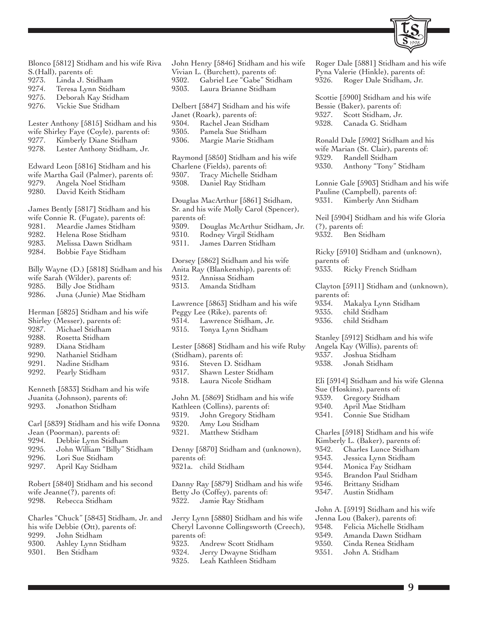

|                | Blonco [5812] Stidham and his wife Riva<br>S.(Hall), parents of:  | Jc<br>Vi       |
|----------------|-------------------------------------------------------------------|----------------|
| 9273.          | Linda J. Stidham                                                  | 93             |
|                | 9274. Teresa Lynn Stidham<br>0975 - Daharah Kay Stidhar           | 93             |
| 9275.          | Deborah Kay Stidham                                               |                |
| 9276.          | Vickie Sue Stidham                                                | $D_0$          |
|                |                                                                   | J <sub>a</sub> |
|                | Lester Anthony [5815] Stidham and his                             | 93             |
|                | wife Shirley Faye (Coyle), parents of:                            | 93<br>93       |
|                | 9277. Kimberly Diane Stidham<br>9278. Lester Anthony Stidham, Jr. |                |
|                |                                                                   | R              |
|                | Edward Leon [5816] Stidham and his                                | Cł             |
|                | wife Martha Gail (Palmer), parents of:                            | 93             |
| 9279.          | Angela Noel Stidham                                               | 93             |
|                | 9280. David Keith Stidham                                         |                |
|                |                                                                   | $D_0$          |
|                | James Bently [5817] Stidham and his                               | $S_{r}$        |
|                | wife Connie R. (Fugate), parents of:                              | pa             |
|                | 9281.     Meardie James Stidham                                   | 93             |
|                | 9282. Helena Rose Stidham                                         | 93<br>93       |
|                | 9283.     Melissa Dawn Stidham<br>9284.     Bobbie Faye Stidham   |                |
|                |                                                                   | D <sub>0</sub> |
|                | Billy Wayne (D.) [5818] Stidham and his                           | Ar             |
|                | wife Sarah (Wilder), parents of:                                  | 93             |
|                | 9285. Billy Joe Stidham                                           | 93             |
|                | 9286. Juna (Junie) Mae Stidham                                    |                |
|                |                                                                   | La             |
|                | Herman [5825] Stidham and his wife                                | Pe             |
|                | Shirley (Messer), parents of:                                     | 93             |
| 9287.          | Michael Stidham                                                   | 93             |
| 9288.<br>9289. | Rosetta Stidham<br>Diana Stidham                                  | Le             |
| 9290.          | Nathaniel Stidham                                                 | (S             |
| 9291.          | Nadine Stidham                                                    | 93             |
| 9292.          | Pearly Stidham                                                    | 93             |
|                |                                                                   | 93             |
|                | Kenneth [5833] Stidham and his wife                               |                |
|                | Juanita (Johnson), parents of:                                    | $_{\rm Jc}$    |
|                | 9293. Jonathon Stidham                                            | $\rm K$        |
|                |                                                                   | 93             |
|                | Carl [5839] Stidham and his wife Donna                            | 93             |
| 9294.          | Jean (Poorman), parents of:<br>Debbie Lynn Stidham                | 93             |
| 9295.          | John William "Billy" Stidham                                      | D <sub>0</sub> |
| 9296.          | Lori Sue Stidham                                                  | pa             |
|                | 9297. April Kay Stidham                                           | 93             |
|                |                                                                   |                |
|                | Robert [5840] Stidham and his second                              | $D_i$          |
|                | wife Jeanne(?), parents of:                                       | Be             |
|                | 9298. Rebecca Stidham                                             | 93             |
|                |                                                                   |                |
|                |                                                                   |                |
|                | Charles "Chuck" [5843] Stidham, Jr. and                           | $_{\rm Je}$    |
|                | his wife Debbie (Ott), parents of:                                | Cł             |
|                | John Stidham                                                      | pa             |
|                | Ashley Lynn Stidham                                               | 93             |
| 9299.<br>9300. | 9301. Ben Stidham                                                 | 93<br>93       |

|             | John Henry [5846] Stidham and his wife                |
|-------------|-------------------------------------------------------|
|             | Vivian L. (Burchett), parents of:                     |
|             | 9302. Gabriel Lee "Gabe" Stidham                      |
|             | 9303. Laura Brianne Stidham                           |
|             |                                                       |
|             | Delbert [5847] Stidham and his wife                   |
|             | Janet (Roark), parents of:                            |
|             | 9304. Rachel Jean Stidham                             |
|             |                                                       |
|             | 9305. Pamela Sue Stidham                              |
|             | 9306. Margie Marie Stidham                            |
|             | Raymond [5850] Stidham and his wife                   |
|             | Charlene (Fields), parents of:                        |
|             |                                                       |
|             | 9307. Tracy Michelle Stidham                          |
|             | 9308. Daniel Ray Stidham                              |
|             |                                                       |
|             | Douglas MacArthur [5861] Stidham,                     |
|             | Sr. and his wife Molly Carol (Spencer),               |
| parents of: |                                                       |
|             | 9309. Douglas McArthur Stidham, Jr.                   |
|             | 9310. Rodney Virgil Stidham                           |
|             | 9311. James Darren Stidham                            |
|             |                                                       |
|             | Dorsey [5862] Stidham and his wife                    |
|             | Anita Ray (Blankenship), parents of:                  |
|             | 9312. Annissa Stidham                                 |
|             | 9313. Amanda Stidham                                  |
|             |                                                       |
|             | Lawrence [5863] Stidham and his wife                  |
|             | Peggy Lee (Rike), parents of:                         |
|             | 9314. Lawrence Stidham, Jr.                           |
|             | 9315. Tonya Lynn Stidham                              |
|             |                                                       |
|             | Lester [5868] Stidham and his wife Ruby               |
|             | (Stidham), parents of:                                |
|             |                                                       |
|             | 9316. Steven D. Stidham<br>9317. Shawn Lester Stidham |
|             |                                                       |
|             | 9318. Laura Nicole Stidham                            |
|             | John M. [5869] Stidham and his wife                   |
|             |                                                       |
|             | Kathleen (Collins), parents of:                       |
| 9319.       | John Gregory Stidham                                  |
| 9320.       | Amy Lou Stidham                                       |
| 9321.       | Matthew Stidham                                       |
|             |                                                       |
|             | Denny [5870] Stidham and (unknown),                   |
| parents of: |                                                       |
|             | 9321a. child Stidham                                  |
|             |                                                       |
|             | Danny Ray [5879] Stidham and his wife                 |
|             | Betty Jo (Coffey), parents of:                        |
|             | 9322. Jamie Ray Stidham                               |
|             |                                                       |
|             | Jerry Lynn [5880] Stidham and his wife                |
|             | Cheryl Lavonne Collingsworth (Creech),                |
| parents of: |                                                       |

- 23. Andrew Scott Stidham
- 24. Jerry Dwayne Stidham
- 9325. Leah Kathleen Stidham

Bessie (Baker), parents of: 9327. Scott Stidham, Jr. 9328. Canada G. Stidham

Ronald Dale [5902] Stidham and his wife Marian (St. Clair), parents of: 9329. Randell Stidham 9330. Anthony "Tony" Stidham

Lonnie Gale [5903] Stidham and his wife Pauline (Campbell), parents of: 9331. Kimberly Ann Stidham

Neil [5904] Stidham and his wife Gloria (?), parents of: 9332. Ben Stidham

Ricky [5910] Stidham and (unknown), parents of: 9333. Ricky French Stidham

Clayton [5911] Stidham and (unknown), parents of:

9334. Makalya Lynn Stidham 9335. child Stidham<br>9336. child Stidham child Stidham

Stanley [5912] Stidham and his wife Angela Kay (Willis), parents of: 9337. Joshua Stidham 9338. Jonah Stidham

Eli [5914] Stidham and his wife Glenna Sue (Hoskins), parents of: 9339. Gregory Stidham 9340. April Mae Stidham 9341. Connie Sue Stidham

Charles [5918] Stidham and his wife Kimberly L. (Baker), parents of: 9342. Charles Lunce Stidham 9343. Jessica Lynn Stidham 9344. Monica Fay Stidham 9345. Brandon Paul Stidham 9346. Brittany Stidham 9347. Austin Stidham John A. [5919] Stidham and his wife

Jenna Lou (Baker), parents of: 9348. Felicia Michelle Stidham 9349. Amanda Dawn Stidham 9350. Cinda Renea Stidham 9351. John A. Stidham

Roger Dale [5881] Stidham and his wife Pyna Valerie (Hinkle), parents of: 9326. Roger Dale Stidham, Jr. Scottie [5900] Stidham and his wife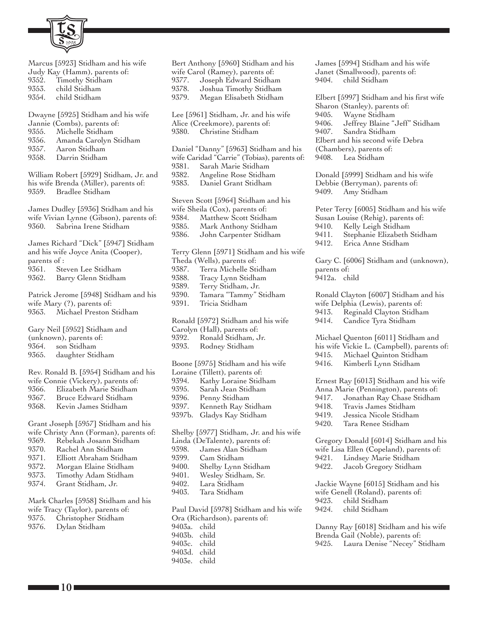

Marcus [5923] Stidham and his wife Judy Kay (Hamm), parents of: 9352. Timothy Stidham 9353. child Stidham 9354. child Stidham

Dwayne [5925] Stidham and his wife Jannie (Combs), parents of: 9355. Michelle Stidham 9356. Amanda Carolyn Stidham 9357. Aaron Stidham 9358. Darrin Stidham

William Robert [5929] Stidham, Jr. and his wife Brenda (Miller), parents of: 9359. Bradlee Stidham

James Dudley [5936] Stidham and his wife Vivian Lynne (Gibson), parents of: 9360. Sabrina Irene Stidham

James Richard "Dick" [5947] Stidham and his wife Joyce Anita (Cooper), parents of : 9361. Steven Lee Stidham 9362. Barry Glenn Stidham

Patrick Jerome [5948] Stidham and his wife Mary (?), parents of: 9363. Michael Preston Stidham

Gary Neil [5952] Stidham and (unknown), parents of: 9364. son Stidham 9365. daughter Stidham

Rev. Ronald B. [5954] Stidham and his wife Connie (Vickery), parents of: 9366. Elizabeth Marie Stidham 9367. Bruce Edward Stidham 9368. Kevin James Stidham

Grant Joseph [5957] Stidham and his wife Christy Ann (Forman), parents of: 9369. Rebekah Josann Stidham 9370. Rachel Ann Stidham 9371. Elliott Abraham Stidham 9372. Morgan Elaine Stidham 9373. Timothy Adam Stidham 9374. Grant Stidham, Jr. Mark Charles [5958] Stidham and his wife Tracy (Taylor), parents of:

9375. Christopher Stidham

9376. Dylan Stidham

Bert Anthony [5960] Stidham and his wife Carol (Ramey), parents of: 9377. Joseph Edward Stidham Joshua Timothy Stidham 9379. Megan Elisabeth Stidham Lee [5961] Stidham, Jr. and his wife Alice (Creekmore), parents of: 9380. Christine Stidham Daniel "Danny" [5963] Stidham and his wife Caridad "Carrie" (Tobias), parents of: 9381. Sarah Marie Stidham 9382. Angeline Rose Stidham 9383. Daniel Grant Stidham Steven Scott [5964] Stidham and his wife Sheila (Cox), parents of: 9384. Matthew Scott Stidham 9385. Mark Anthony Stidham 9386. John Carpenter Stidham Terry Glenn [5971] Stidham and his wife Theda (Wells), parents of: 9387. Terra Michelle Stidham 9388. Tracy Lynn Stidham 9389. Terry Stidham, Jr. 9390. Tamara "Tammy" Stidham 9391. Tricia Stidham Ronald [5972] Stidham and his wife Carolyn (Hall), parents of: 9392. Ronald Stidham, Jr. 9393. Rodney Stidham Boone [5975] Stidham and his wife Loraine (Tillett), parents of: 9394. Kathy Loraine Stidham 9395. Sarah Jean Stidham 9396. Penny Stidham 9397. Kenneth Ray Stidham 9397b. Gladys Kay Stidham Shelby [5977] Stidham, Jr. and his wife Linda (DeTalente), parents of: 9398. James Alan Stidham 9399. Cam Stidham 9400. Shelby Lynn Stidham 9401. Wesley Stidham, Sr. 9402. Lara Stidham 9403. Tara Stidham Paul David [5978] Stidham and his wife Ora (Richardson), parents of: 9403a. child 9403b. child

9403c. child 9403d. child 9403e. child

9404. child Stidham Elbert [5997] Stidham and his first wife Sharon (Stanley), parents of:<br>9405. Wayne Stidham Wayne Stidham 9406. Jeffrey Blaine "Jeff" Stidham Sandra Stidham Elbert and his second wife Debra (Chambers), parents of: Lea Stidham Donald [5999] Stidham and his wife Debbie (Berryman), parents of: 9409. Amy Stidham Peter Terry [6005] Stidham and his wife Susan Louise (Rehig), parents of: 9410. Kelly Leigh Stidham<br>9411. Stephanie Elizabeth Stephanie Elizabeth Stidham 9412. Erica Anne Stidham Gary C. [6006] Stidham and (unknown), parents of: 9412a. child Ronald Clayton [6007] Stidham and his

James [5994] Stidham and his wife Janet (Smallwood), parents of:

wife Delphia (Lewis), parents of:<br>9413. Reginald Clayton Stidha 9413. Reginald Clayton Stidham<br>9414. Candice Tyra Stidham Candice Tyra Stidham

Michael Quenton [6011] Stidham and his wife Vickie L. (Campbell), parents of: 9415. Michael Quinton Stidham<br>9416. Kimberli Lynn Stidham Kimberli Lynn Stidham

Ernest Ray [6013] Stidham and his wife Anna Marie (Pennington), parents of: 9417. Jonathan Ray Chase Stidham 9418. Travis James Stidham

- 9419. Jessica Nicole Stidham
- 
- 9420. Tara Renee Stidham

Gregory Donald [6014] Stidham and his wife Lisa Ellen (Copeland), parents of: 9421. Lindsey Marie Stidham 9422. Jacob Gregory Stidham

Jackie Wayne [6015] Stidham and his wife Genell (Roland), parents of: 9423. child Stidham 9424. child Stidham

Danny Ray [6018] Stidham and his wife Brenda Gail (Noble), parents of: 9425. Laura Denise "Necey" Stidham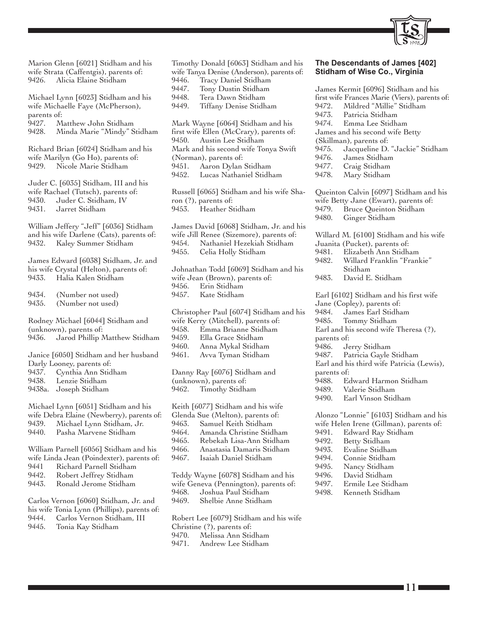

Marion Glenn [6021] Stidham and his wife Strata (Caffentgis), parents of: 9426. Alicia Elaine Stidham

Michael Lynn [6023] Stidham and his wife Michaelle Faye (McPherson), parents of: 9427. Matthew John Stidham 9428. Minda Marie "Mindy" Stidham

Richard Brian [6024] Stidham and his wife Marilyn (Go Ho), parents of: 9429. Nicole Marie Stidham

Juder C. [6035] Stidham, III and his wife Rachael (Tutsch), parents of: 9430. Juder C. Stidham, IV 9431. Jarret Stidham

William Jeffery "Jeff" [6036] Stidham and his wife Darlene (Cats), parents of: 9432. Kaley Summer Stidham

James Edward [6038] Stidham, Jr. and his wife Crystal (Helton), parents of: 9433. Halia Kalen Stidham

9434. (Number not used) 9435. (Number not used)

Rodney Michael [6044] Stidham and (unknown), parents of: 9436. Jarod Phillip Matthew Stidham

Janice [6050] Stidham and her husband Darly Looney, parents of:

- 9437. Cynthia Ann Stidham
- 9438. Lenzie Stidham 9438a. Joseph Stidham
- 

Michael Lynn [6051] Stidham and his wife Debra Elaine (Newberry), parents of: 9439. Michael Lynn Stidham, Jr. 9440. Pasha Marvene Stidham

William Parnell [6056] Stidham and his wife Linda Jean (Poindexter), parents of: 9441 Richard Parnell Stidham 9442. Robert Jeffrey Stidham 9443. Ronald Jerome Stidham

Carlos Vernon [6060] Stidham, Jr. and his wife Tonia Lynn (Phillips), parents of: 9444. Carlos Vernon Stidham, III 9445. Tonia Kay Stidham

Timothy Donald [6063] Stidham and his wife Tanya Denise (Anderson), parents of: 9446. Tracy Daniel Stidham 9447. Tony Dustin Stidham 9448. Tera Dawn Stidham 9449. Tiffany Denise Stidham Mark Wayne [6064] Stidham and his first wife Ellen (McCrary), parents of: 9450. Austin Lee Stidham Mark and his second wife Tonya Swift (Norman), parents of: 9451. Aaron Dylan Stidham 9452. Lucas Nathaniel Stidham Russell [6065] Stidham and his wife Sharon (?), parents of: 9453. Heather Stidham James David [6068] Stidham, Jr. and his wife Jill Renee (Sizemore), parents of: 9454. Nathaniel Hezekiah Stidham 9455. Celia Holly Stidham Johnathan Todd [6069] Stidham and his wife Jean (Brown), parents of: 9456. Erin Stidham 9457. Kate Stidham Christopher Paul [6074] Stidham and his wife Kerry (Mitchell), parents of: 9458. Emma Brianne Stidham 9459. Ella Grace Stidham 9460. Anna Mykal Stidham 9461. Avva Tyman Stidham Danny Ray [6076] Stidham and (unknown), parents of: 9462. Timothy Stidham Keith [6077] Stidham and his wife Glenda Sue (Melton), parents of: 9463. Samuel Keith Stidham 9464. Amanda Christine Stidham 9465. Rebekah Lisa-Ann Stidham 9466. Anastasia Damaris Stidham 9467. Isaiah Daniel Stidham Teddy Wayne [6078] Stidham and his wife Geneva (Pennington), parents of: 9468. Joshua Paul Stidham 9469. Shelbie Anne Stidham

Robert Lee [6079] Stidham and his wife Christine (?), parents of: 9470. Melissa Ann Stidham 9471. Andrew Lee Stidham

# **The Descendants of James [402] Stidham of Wise Co., Virginia**

|                | James Kermit [6096] Stidham and his                         |
|----------------|-------------------------------------------------------------|
|                | first wife Frances Marie (Viers), parents of:               |
|                | Mildred "Millie" Stidham                                    |
| 9472.<br>9473. | Patricia Stidham                                            |
| 9474.          | Emma Lee Stidham                                            |
|                | James and his second wife Betty                             |
|                | (Skillman), parents of:                                     |
|                |                                                             |
|                | 9475. Jacqueline D. "Jackie" Stidham<br>9476. James Stidham |
| 9477.          | Craig Stidham                                               |
|                | 9478. Mary Stidham                                          |
|                | Queinton Calvin [6097] Stidham and his                      |
|                | wife Betty Jane (Ewart), parents of:                        |
| 9479.          | Bruce Queinton Stidham                                      |
|                | 9480. Ginger Stidham                                        |
|                | Willard M. [6100] Stidham and his wife                      |
|                | Juanita (Pucket), parents of:                               |
|                | 9481. Elizabeth Ann Stidham                                 |
| 9482.          | Willard Franklin "Frankie"                                  |
|                | Stidham                                                     |
| 9483.          | David E. Stidham                                            |
|                | Earl [6102] Stidham and his first wife                      |
|                | Jane (Copley), parents of:                                  |
|                |                                                             |
|                | 9484. James Earl Stidham<br>9485. Tommy Stidham             |
|                | Earl and his second wife Theresa (?),                       |
| parents of:    |                                                             |
|                | 9486. Jerry Stidham                                         |
|                | 9487. Patricia Gayle Stidham                                |
|                | Earl and his third wife Patricia (Lewis),                   |
| parents of:    |                                                             |
|                | 9488. Edward Harmon Stidham                                 |
|                | 9489. Valerie Stidham                                       |
|                | 9490. Earl Vinson Stidham                                   |
|                | Alonzo "Lonnie" [6103] Stidham and his                      |
|                | wife Helen Irene (Gillman), parents of:                     |
| 9491.          | Edward Ray Stidham                                          |
| 9492.          | <b>Betty Stidham</b>                                        |
| 9493.          | Evaline Stidham                                             |
| 9494.          | Connie Stidham                                              |
| 9495.          | Nancy Stidham                                               |
| 9496.          | David Stidham                                               |
| 9497.          | Ermile Lee Stidham                                          |
|                |                                                             |

9498. Kenneth Stidham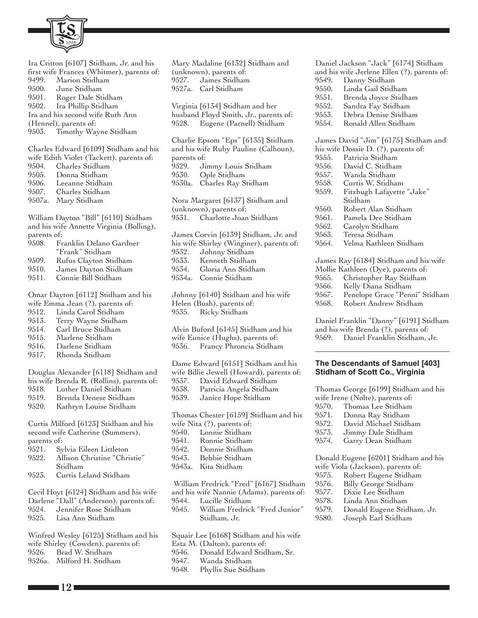

| Ira Critton [6107] Stidham, Jr. and his |                                           |  |  |
|-----------------------------------------|-------------------------------------------|--|--|
|                                         |                                           |  |  |
|                                         | first wife Frances (Whitmer), parents of: |  |  |
|                                         | 9499. Marion Stidham                      |  |  |
|                                         | 9500. June Stidham                        |  |  |
|                                         | 9501. Roger Dale Stidham                  |  |  |
|                                         | 9502. Ira Phillip Stidham                 |  |  |
| Ira and his second wife Ruth Ann        |                                           |  |  |
| (Hennel), parents of:                   |                                           |  |  |
|                                         | 9503. Timothy Wayne Stidham               |  |  |

Charles Edward [6109] Stidham and his wife Edith Violet (Tackett), parents of: 9504. Charles Stidham 9505. Donna Stidham

- 9506. Leeanne Stidham
- 9507. Charles Stidham
- 
- 9507a. Mary Stidham

William Dayton "Bill" [6110] Stidham and his wife Annette Virginia (Bolling), parents of:

- 9508. Franklin Delano Gardner "Frank" Stidham 9509. Rufus Clayton Stidham
- 9510. James Dayton Stidham
- 9511. Connie Bill Stidham

Omar Dayton [6112] Stidham and his

- wife Emma Jean (?), parents of: 9512. Linda Carol Stidham
- 9513. Terry Wayne Stidham
- 9514. Carl Bruce Stidham
- 
- 9515. Marlene Stidham<br>9516. Darlene Stidham Darlene Stidham
- 9517. Rhonda Stidham

Douglas Alexander [6118] Stidham and his wife Brenda R. (Rollins), parents of: 9518. Luther Daniel Stidham 9519. Brenda Denese Stidham 9520. Kathryn Louise Stidham

Curtis Milford [6123] Stidham and his second wife Catherine (Summers), parents of:

- 9521. Sylvia Eileen Littleton
- 9522. Allison Christine "Christie" Stidham
- 9523. Curtis Leland Stidham

Cecil Hoyt [6124] Stidham and his wife Darlene "Dall" (Anderson), parents of: 9524. Jennifer Rose Stidham 9525. Lisa Ann Stidham

Winfred Wesley [6125] Stidham and his wife Shirley (Cowden), parents of: 9526. Brad W. Stidham 9526a. Milford H. Stidham

Mary Madaline [6132] Stidham and (unknown), parents of: 9527. James Stidham 9527a. Carl Stidham Virginia [6134] Stidham and her husband Floyd Smith, Jr., parents of: 9528. Eugene (Parnell) Stidham Charlie Epsom "Eps" [6135] Stidham and his wife Ruby Pauline (Calhoun), parents of: 9529. Jimmy Louis Stidham 9530. Ople Stidham 9530a. Charles Ray Stidham

Nora Margaret [6137] Stidham and (unknown), parents of: 9531. Charlotte Joan Stidham

James Corvin [6139] Stidham, Jr. and his wife Shirley (Winginer), parents of: 9532. Johnny Stidham 9533. Kenneth Stidham 9534. Gloria Ann Stidham 9534a. Connie Stidham

Johnny [6140] Stidham and his wife Helen (Bush), parents of: 9535. Ricky Stidham

Alvin Buford [6145] Stidham and his wife Eunice (Hughs), parents of: 9536. Francy Phroncia Stidham

Dame Edward [6151] Stidham and his wife Billie Jewell (Howard), parents of: 9537. David Edward Stidham 9538. Patricia Angela Stidham 9539. Janice Hope Stidham

Thomas Chester [6159] Stidham and his wife Nita (?), parents of: 9540. Lonnie Stidham 9541. Ronnie Stidham 9542. Donnie Stidham

- 9543. Bebbie Stidham
- 9543a. Kita Stidham

 William Fredrick "Fred" [6167] Stidham and his wife Nannie (Adams), parents of: 9544. Lucille Stidham

9545. William Fredrick "Fred Junior" Stidham, Jr.

Squair Lee [6168] Stidham and his wife

- Esta M. (Dalton), parents of:
- 9546. Donald Edward Stidham, Sr.
- 9547. Wanda Stidham
- 9548. Phyllis Sue Stidham

Daniel Jackson "Jack" [6174] Stidham and his wife Jerlene Ellen (?), parents of:

- 9549. Danny Stidham
- 9550. Linda Gail Stidham
- 9551. Brenda Joyce Stidham
- 9552. Sandra Fay Stidham<br>9553. Debra Denise Stidha
- Debra Denise Stidham
- 9554. Ronald Allen Stidham

James David "Jim" [6175] Stidham and

- his wife Dossie D. (?), parents of:
- 9555. Patricia Stidham
- 9556. David C. Stidham
- 9557. Wanda Stidham
- 9558. Curtis W. Stidham
- 9559. Fitzhugh Lafayette "Jake" Stidham
- 
- 9560. Robert Alan Stidham<br>9561. Pamela Dee Stidham Pamela Dee Stidham
- 9562. Carolyn Stidham
- 9563. Teresa Stidham
- 9564. Velma Kathleen Stidham

James Ray [6184] Stidham and his wife Mollie Kathleen (Dye), parents of: 9565. Christopher Ray Stidham 9566. Kelly Diana Stidham 9567. Penelope Grace "Penni" Stidham 9568. Robert Andrew Stidham

Daniel Franklin "Danny" [6191] Stidham and his wife Brenda (?), parents of: 9569. Daniel Franklin Stidham, Jr.

# **The Descendants of Samuel [403] Stidham of Scott Co., Virginia**

Thomas George [6199] Stidham and his wife Irene (Nolte), parents of: 9570. Thomas Lee Stidham

- 9571. Donna Ray Stidham
- 9572. David Michael Stidham
- 
- 9573. Jimmy Dale Stidham
- 9574. Garry Dean Stidham

Donald Eugene [6201] Stidham and his wife Viola (Jackson), parents of:

- 9575. Robert Eugene Stidham
- 9576. Billy George Stidham
- 9577. Dixie Lee Stidham
- 9578. Linda Ann Stidham
- 9579. Donald Eugene Stidham, Jr.<br>9580. Joseph Earl Stidham
- Joseph Earl Stidham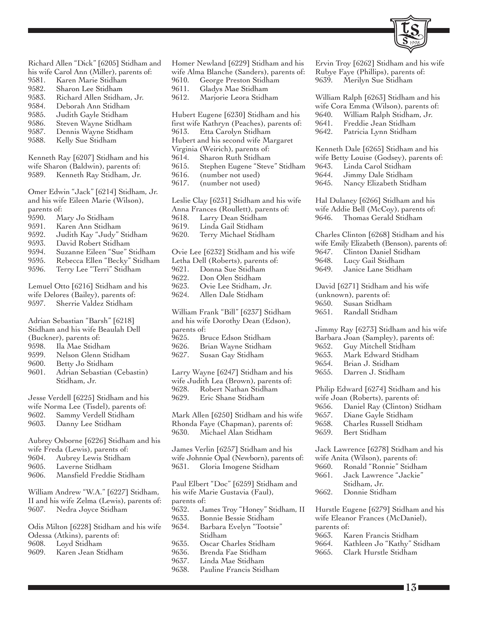

Richard Allen "Dick" [6205] Stidham and

- his wife Carol Ann (Miller), parents of:
- 9581. Karen Marie Stidham
- 9582. Sharon Lee Stidham
- 9583. Richard Allen Stidham, Jr. 9584. Deborah Ann Stidham
- 9585. Judith Gayle Stidham
- 9586. Steven Wayne Stidham
- 9587. Dennis Wayne Stidham
- 9588. Kelly Sue Stidham

Kenneth Ray [6207] Stidham and his wife Sharon (Baldwin), parents of: 9589. Kenneth Ray Stidham, Jr.

Omer Edwin "Jack" [6214] Stidham, Jr. and his wife Eileen Marie (Wilson), parents of:

- 9590. Mary Jo Stidham
- 9591. Karen Ann Stidham
- 9592. Judith Kay "Judy" Stidham
- 9593. David Robert Stidham
- 9594. Suzanne Eileen "Sue" Stidham
- 9595. Rebecca Ellen "Becky" Stidham
- 9596. Terry Lee "Terri" Stidham

Lemuel Otto [6216] Stidham and his wife Delores (Bailey), parents of: 9597. Sherrie Valdez Stidham

Adrian Sebastian "Barsh" [6218] Stidham and his wife Beaulah Dell (Buckner), parents of:

- 9598. Ila Mae Stidham
- 9599. Nelson Glenn Stidham
- 9600. Betty Jo Stidham
- 9601. Adrian Sebastian (Cebastin) Stidham, Jr.

Jesse Verdell [6225] Stidham and his wife Norma Lee (Tisdel), parents of: 9602. Sammy Verdell Stidham 9603. Danny Lee Stidham

Aubrey Osborne [6226] Stidham and his wife Freda (Lewis), parents of: 9604. Aubrey Lewis Stidham 9605. Laverne Stidham 9606. Mansfield Freddie Stidham

William Andrew "W.A." [6227] Stidham, II and his wife Zelma (Lewis), parents of: 9607. Nedra Joyce Stidham

Odis Milton [6228] Stidham and his wife Odessa (Atkins), parents of: 9608. Loyd Stidham 9609. Karen Jean Stidham

Homer Newland [6229] Stidham and his wife Alma Blanche (Sanders), parents of:

- 9610. George Preston Stidham
- 9611. Gladys Mae Stidham

9612. Marjorie Leora Stidham

Hubert Eugene [6230] Stidham and his first wife Kathryn (Peaches), parents of: 9613. Etta Carolyn Stidham Hubert and his second wife Margaret Virginia (Weirich), parents of: 9614. Sharon Ruth Stidham 9615. Stephen Eugene "Steve" Stidham 9616. (number not used) 9617. (number not used) Leslie Clay [6231] Stidham and his wife Anna Frances (Roullett), parents of: 9618. Larry Dean Stidham 9619. Linda Gail Stidham 9620. Terry Michael Stidham Ovie Lee [6232] Stidham and his wife Letha Dell (Roberts), parents of: 9621. Donna Sue Stidham 9622. Don Olen Stidham 9623. Ovie Lee Stidham, Jr. 9624. Allen Dale Stidham William Frank "Bill" [6237] Stidham and his wife Dorothy Dean (Edson), parents of: 9625. Bruce Edson Stidham 9626. Brian Wayne Stidham 9627. Susan Gay Stidham Larry Wayne [6247] Stidham and his wife Judith Lea (Brown), parents of: 9628. Robert Nathan Stidham 9629. Eric Shane Stidham Mark Allen [6250] Stidham and his wife Rhonda Faye (Chapman), parents of: 9630. Michael Alan Stidham James Verlin [6257] Stidham and his wife Johnnie Opal (Newborn), parents of: 9631. Gloria Imogene Stidham

Paul Elbert "Doc" [6259] Stidham and his wife Marie Gustavia (Faul), parents of:

- 9632. James Troy "Honey" Stidham, II
- 9633. Bonnie Bessie Stidham
- 9634. Barbara Evelyn "Tootsie" Stidham
- 9635. Oscar Charles Stidham
- 9636. Brenda Fae Stidham
- 9637. Linda Mae Stidham
- 9638. Pauline Francis Stidham

Ervin Troy [6262] Stidham and his wife Rubye Faye (Phillips), parents of: 9639. Merilyn Sue Stidham

William Ralph [6263] Stidham and his wife Cora Emma (Wilson), parents of: 9640. William Ralph Stidham, Jr. 9641. Freddie Jean Stidham 9642. Patricia Lynn Stidham

Kenneth Dale [6265] Stidham and his wife Betty Louise (Godsey), parents of: 9643. Linda Carol Stidham 9644. Jimmy Dale Stidham 9645. Nancy Elizabeth Stidham

Hal Dulaney [6266] Stidham and his wife Addie Bell (McCoy), parents of: 9646. Thomas Gerald Stidham

Charles Clinton [6268] Stidham and his wife Emily Elizabeth (Benson), parents of: 9647. Clinton Daniel Stidham 9648. Lucy Gail Stidham 9649. Janice Lane Stidham

David [6271] Stidham and his wife (unknown), parents of: 9650. Susan Stidham<br>9651. Randall Stidhai Randall Stidham

Jimmy Ray [6273] Stidham and his wife Barbara Joan (Sampley), parents of:

- 9652. Guy Mitchell Stidham
- 9653. Mark Edward Stidham
- 9654. Brian J. Stidham
- 9655. Darren J. Stidham

Philip Edward [6274] Stidham and his wife Joan (Roberts), parents of:

9656. Daniel Ray (Clinton) Stidham

- 9657. Diane Gayle Stidham
- 9658. Charles Russell Stidham
- 9659. Bert Stidham

Jack Lawrence [6278] Stidham and his wife Anita (Wilson), parents of:

- 9660. Ronald "Ronnie" Stidham
- 9661. Jack Lawrence "Jackie" Stidham, Jr.
- 9662. Donnie Stidham

Hurstle Eugene [6279] Stidham and his wife Eleanor Frances (McDaniel), parents of:

- 9663. Karen Francis Stidham
- 9664. Kathleen Jo "Kathy" Stidham
- 9665. Clark Hurstle Stidham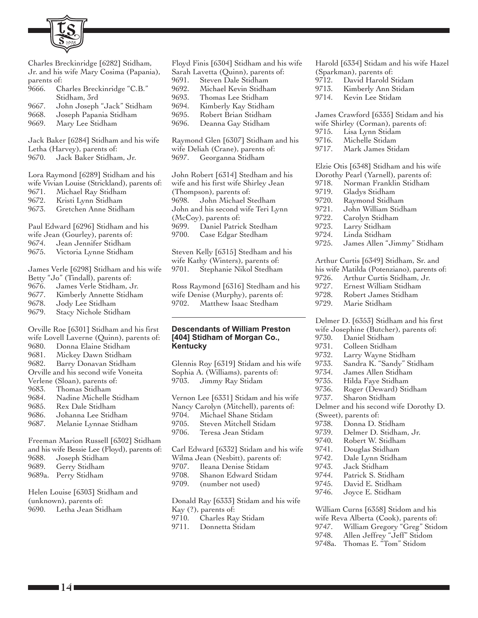

Charles Breckinridge [6282] Stidham, Jr. and his wife Mary Cosima (Papania), parents of:

| 9666. | Charles Breckinridge "C.B." |
|-------|-----------------------------|
|       | Stidham, 3rd                |
| 9667. | John Joseph "Jack" Stidham  |
| 9668. | Joseph Papania Stidham      |

9669. Mary Lee Stidham

Jack Baker [6284] Stidham and his wife Letha (Harvey), parents of: 9670. Jack Baker Stidham, Jr.

| Lora Raymond [6289] Stidham and his          |                           |  |
|----------------------------------------------|---------------------------|--|
| wife Vivian Louise (Strickland), parents of: |                           |  |
|                                              | 9671. Michael Ray Stidham |  |
| 9672.                                        | Kristi Lynn Stidham       |  |
| 9673.                                        | Gretchen Anne Stidham     |  |
|                                              |                           |  |

Paul Edward [6296] Stidham and his wife Jean (Gourley), parents of: 9674. Jean Jennifer Stidham 9675. Victoria Lynne Stidham

James Verle [6298] Stidham and his wife Betty "Jo" (Tindall), parents of: 9676. James Verle Stidham, Jr. 9677. Kimberly Annette Stidham 9678. Jody Lee Stidham<br>9679. Stacy Nichole Stid Stacy Nichole Stidham

Orville Roe [6301] Stidham and his first wife Lovell Laverne (Quinn), parents of: 9680. Donna Elaine Stidham 9681. Mickey Dawn Stidham 9682. Barry Donavan Stidham Orville and his second wife Voneita Verlene (Sloan), parents of: 9683. Thomas Stidham 9684. Nadine Michelle Stidham 9685. Rex Dale Stidham 9686. Johanna Lee Stidham 9687. Melanie Lynnae Stidham

Freeman Marion Russell [6302] Stidham and his wife Bessie Lee (Floyd), parents of: 9688. Joseph Stidham 9689. Gerry Stidham 9689a. Perry Stidham

Helen Louise [6303] Stidham and (unknown), parents of: 9690. Letha Jean Stidham

Floyd Finis [6304] Stidham and his wife Sarah Lavetta (Quinn), parents of: 9691. Steven Dale Stidham<br>9692. Michael Kevin Stidha 9692. Michael Kevin Stidham 9693. Thomas Lee Stidham 9694. Kimberly Kay Stidham<br>9695. Robert Brian Stidham

9695. Robert Brian Stidham

9696. Deanna Gay Stidham

Raymond Glen [6307] Stidham and his wife Deliah (Crane), parents of: 9697. Georganna Stidham

John Robert [6314] Stedham and his wife and his first wife Shirley Jean (Thompson), parents of: 9698. John Michael Stedham John and his second wife Teri Lynn (McCoy), parents of: 9699. Daniel Patrick Stedham 9700. Case Edgar Stedham

Steven Kelly [6315] Stedham and his wife Kathy (Winters), parents of: 9701. Stephanie Nikol Stedham

Ross Raymond [6316] Stedham and his wife Denise (Murphy), parents of: 9702. Matthew Isaac Stedham

#### **Descendants of William Preston [404] Stidham of Morgan Co., Kentucky**

Glennis Roy [6319] Stidam and his wife Sophia A. (Williams), parents of: 9703. Jimmy Ray Stidam

Vernon Lee [6331] Stidam and his wife Nancy Carolyn (Mitchell), parents of: 9704. Michael Shane Stidam 9705. Steven Mitchell Stidam 9706. Teresa Jean Stidam

Carl Edward [6332] Stidam and his wife Wilma Jean (Nesbitt), parents of: 9707. Ileana Denise Stidam<br>9708. Shanon Edward Stida Shanon Edward Stidam 9709. (number not used)

Donald Ray [6333] Stidam and his wife Kay (?), parents of:

- 9710. Charles Ray Stidam
- 9711. Donnetta Stidam

Harold [6334] Stidam and his wife Hazel (Sparkman), parents of:

- 9712. David Harold Stidam
- 9713. Kimberly Ann Stidam
- 9714. Kevin Lee Stidam

James Crawford [6335] Stidam and his wife Shirley (Corman), parents of:

- 9715. Lisa Lynn Stidam
- 9716. Michelle Stidam
- 9717. Mark James Stidam

Elzie Otis [6348] Stidham and his wife Dorothy Pearl (Yarnell), parents of:

- 9718. Norman Franklin Stidham
- 9719. Gladys Stidham
- 9720. Raymond Stidham
- 9721. John William Stidham
- 9722. Carolyn Stidham
- 9723. Larry Stidham
- 9724. Linda Stidham
- 9725. James Allen "Jimmy" Stidham

Arthur Curtis [6349] Stidham, Sr. and

- his wife Matilda (Potenziano), parents of:
- 9726. Arthur Curtis Stidham, Jr.
- 9727. Ernest William Stidham
- 9728. Robert James Stidham
- 9729. Marie Stidham

Delmer D. [6353] Stidham and his first wife Josephine (Butcher), parents of:

- 9730. Daniel Stidham
- 9731. Colleen Stidham
- 9732. Larry Wayne Stidham
- 9733. Sandra K. "Sandy" Stidham<br>9734. James Allen Stidham
- James Allen Stidham
- 9735. Hilda Faye Stidham
- 9736. Roger (Deward) Stidham
- 9737. Sharon Stidham

Delmer and his second wife Dorothy D.

- (Sweet), parents of:
- 9738. Donna D. Stidham
- 
- 9739. Delmer D. Stidham, Jr. Robert W. Stidham
- 9741. Douglas Stidham
- 9742. Dale Lynn Stidham
- 9743. Jack Stidham
- 9744. Patrick S. Stidham
- 9745. David E. Stidham
- 9746. Joyce E. Stidham

William Curns [6358] Stidom and his wife Reva Alberta (Cook), parents of: 9747. William Gregory "Greg" Stidom 9748. Allen Jeffrey "Jeff" Stidom 9748a. Thomas E. "Tom" Stidom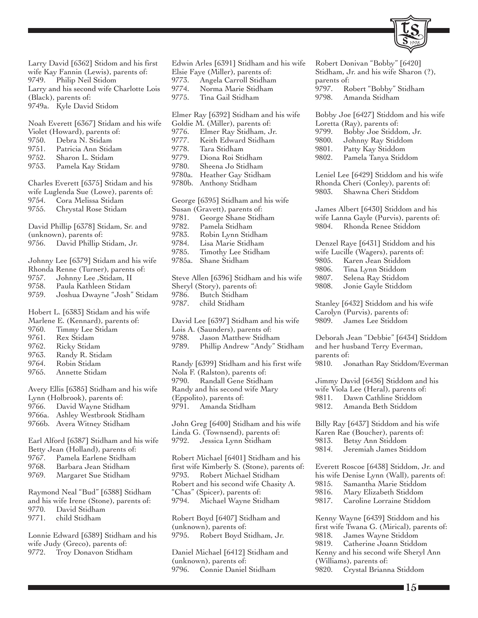

Robert Donivan "Bobby" [6420]

|                | Larry David [6362] Stidom and his first<br>wife Kay Fannin (Lewis), parents of:<br>9749. Philip Neil Stidom | Ed<br>Els<br>97               |
|----------------|-------------------------------------------------------------------------------------------------------------|-------------------------------|
|                | Larry and his second wife Charlotte Lois<br>(Black), parents of:                                            | 97<br>97.                     |
|                | 9749a. Kyle David Stidom                                                                                    | E <sub>l</sub>                |
|                | Noah Everett [6367] Stidam and his wife                                                                     | Gc                            |
| 9750.          | Violet (Howard), parents of:<br>Debra N. Stidam                                                             | 97<br>97                      |
| 9751.          | Patricia Ann Stidam                                                                                         | 97                            |
| 9752.          | Sharon L. Stidam                                                                                            | 97                            |
| 9753.          | Pamela Kay Stidam                                                                                           | 97<br>97                      |
|                | Charles Everett [6375] Stidam and his<br>wife Luglenda Sue (Lowe), parents of:                              | 97                            |
|                | 9754. Cora Melissa Stidam                                                                                   | Ge                            |
| 9755.          | Chrystal Rose Stidam                                                                                        | Su                            |
|                | David Phillip [6378] Stidam, Sr. and                                                                        | 97<br>97                      |
|                | (unknown), parents of:                                                                                      | 97                            |
|                | 9756. David Phillip Stidam, Jr.                                                                             | 97                            |
|                | Johnny Lee [6379] Stidam and his wife                                                                       | 97<br>97                      |
|                | Rhonda Renne (Turner), parents of:                                                                          |                               |
| 9757.<br>9758. | Johnny Lee , Stidam, II<br>Paula Kathleen Stidam                                                            | St6<br>Sh                     |
| 9759.          | Joshua Dwayne "Josh" Stidam                                                                                 | 97                            |
|                |                                                                                                             | 97                            |
|                | Hobert L. [6383] Stidam and his wife                                                                        |                               |
|                | Marlene E. (Kennard), parents of:                                                                           | $\mathrm{D}_{\hat{\epsilon}}$ |
| 9760.<br>9761. | Timmy Lee Stidam<br>Rex Stidam                                                                              | Lo<br>97                      |
| 9762.          | Ricky Stidam                                                                                                | 97                            |
| 9763.          | Randy R. Stidam                                                                                             |                               |
| 9764.          | Robin Stidam                                                                                                | Ra                            |
| 9765.          | Annette Stidam                                                                                              | N <sub>c</sub>                |
|                |                                                                                                             | 97<br>Ra                      |
|                | Avery Ellis [6385] Stidham and his wife<br>Lynn (Holbrook), parents of:                                     | (E)                           |
|                | 9766. David Wayne Stidham                                                                                   | 97                            |
|                | 9766a. Ashley Westbrook Stidham                                                                             |                               |
|                | 9766b. Avera Witney Stidham                                                                                 | Jo                            |
|                | Earl Alford [6387] Stidham and his wife<br>Betty Jean (Holland), parents of:                                | Lii<br>97                     |
| 9767.          | Pamela Earlene Stidham                                                                                      | Rc                            |
| 9768.          | Barbara Jean Stidham                                                                                        | firs                          |
| 9769.          | Margaret Sue Stidham                                                                                        | 97                            |
|                | Raymond Neal "Bud" [6388] Stidham                                                                           | Rc<br>$^{\prime\prime}$ C     |
|                | and his wife Irene (Stone), parents of:                                                                     | 97                            |
| 9770.<br>9771. | David Stidham<br>child Stidham                                                                              | Rc                            |
|                |                                                                                                             | (u)                           |
|                | Lonnie Edward [6389] Stidham and his<br>wife Judy (Greco), parents of:                                      | 97                            |
|                | 9772. Troy Donavon Stidham                                                                                  | $\mathrm{D} \varepsilon$      |
|                |                                                                                                             | (11)                          |

| Edwin Arles [6391] Stidham and his wife                                              |
|--------------------------------------------------------------------------------------|
| Elsie Faye (Miller), parents of:                                                     |
| 9773. Angela Carroll Stidham                                                         |
| 9774. Norma Marie Stidham                                                            |
| 9775. Tina Gail Stidham                                                              |
| Elmer Ray [6392] Stidham and his wife                                                |
| Goldie M. (Miller), parents of:                                                      |
| 9776. Elmer Ray Stidham, Jr.                                                         |
| 9777. Keith Edward Stidham                                                           |
|                                                                                      |
| 9778.     Tara Stidham<br>9779.     Diona Roi Stidham<br>9780.     Sheena Jo Stidham |
|                                                                                      |
| 9780a. Heather Gay Stidham                                                           |
| 9780b. Anthony Stidham                                                               |
|                                                                                      |
| George [6395] Stidham and his wife                                                   |
| Susan (Gravett), parents of:                                                         |
| 9781. George Shane Stidham<br>9782. Pamela Stidham                                   |
|                                                                                      |
| 9783.     Robin Lynn Stidham                                                         |
| 9784. Lisa Marie Stidham                                                             |
| 9785.     Timothy Lee Stidham<br>9785a.     Shane Stidham                            |
|                                                                                      |
| Steve Allen [6396] Stidham and his wife                                              |
| Sheryl (Story), parents of:                                                          |
| 9786. Butch Stidham                                                                  |
| 9787. child Stidham                                                                  |
| David Lee [6397] Stidham and his wife                                                |
| Lois A. (Saunders), parents of:                                                      |
| 9788. Jason Matthew Stidham                                                          |
| 9789. Phillip Andrew "Andy" Stidham                                                  |
|                                                                                      |
| Randy [6399] Stidham and his first wife                                              |
| Nola F. (Ralston), parents of:                                                       |
| 9790. Randall Gene Stidham                                                           |
| Randy and his second wife Mary                                                       |
| (Eppolito), parents of:                                                              |
| 9791. Amanda Stidham                                                                 |
| John Greg [6400] Stidham and his wife                                                |
| Linda G. (Townsend), parents of:                                                     |
| 9792. Jessica Lynn Stidham                                                           |
| Robert Michael [6401] Stidham and his                                                |
| first wife Kimberly S. (Stone), parents of:                                          |
| 9793. Robert Michael Stidham                                                         |
| Robert and his second wife Chasity A.                                                |
| "Chas" (Spicer), parents of:                                                         |
| 9794. Michael Wayne Stidham                                                          |
| Robert Boyd [6407] Stidham and                                                       |
| (unknown), parents of:                                                               |
| 9795. Robert Boyd Stidham, Jr.                                                       |

aniel Michael [6412] Stidham and (unknown), parents of: Connie Daniel Stidham

|                               | Stidham, Jr. and his wife Sharon (?),                                                                                                                                              |
|-------------------------------|------------------------------------------------------------------------------------------------------------------------------------------------------------------------------------|
| parents of:<br>9797.<br>9798. | Robert "Bobby" Stidham<br>Amanda Stidham                                                                                                                                           |
| 9799.                         | Bobby Joe [6427] Stiddom and his wife<br>Loretta (Ray), parents of:<br>Bobby Joe Stiddom, Jr.<br>9800. Johnny Ray Stiddom<br>9801. Patty Kay Stiddom<br>9802. Pamela Tanya Stiddom |
|                               | Leniel Lee [6429] Stiddom and his wife<br>Rhonda Cheri (Conley), parents of:<br>9803. Shawna Cheri Stiddom                                                                         |
| 9804.                         | James Albert [6430] Stiddom and his<br>wife Lanna Gayle (Purvis), parents of:<br>Rhonda Renee Stiddom                                                                              |
| 9805.<br>9806.                | Denzel Raye [6431] Stiddom and his<br>wife Lucille (Wagers), parents of:<br>Karen Jean Stiddom<br>Tina Lynn Stiddom<br>9807. Selena Ray Stiddom<br>9808. Jonie Gayle Stiddom       |
|                               | Stanley [6432] Stiddom and his wife<br>Carolyn (Purvis), parents of:<br>9809. James Lee Stiddom                                                                                    |
| parents of:                   | Deborah Jean "Debbie" [6434] Stiddom<br>and her husband Terry Everman,<br>9810. Jonathan Ray Stiddom/Everman                                                                       |
| 9811.                         | Jimmy David [6436] Stiddom and his<br>wife Viola Lee (Heral), parents of:<br>Dawn Cathline Stiddom<br>9812. Amanda Beth Stiddom                                                    |
| 9813.<br>9814.                | Billy Ray [6437] Stiddom and his wife<br>Karen Rae (Boucher), parents of:<br>Betsy Ann Stiddom<br>Jeremiah James Stiddom                                                           |
|                               | Everett Roscoe [6438] Stiddom, Jr. and<br>his wife Denise Lynn (Wall), parents of:                                                                                                 |

9815. Samantha Marie Stiddom<br>9816. Mary Elizabeth Stiddom Mary Elizabeth Stiddom 9817. Caroline Lorraine Stiddom Kenny Wayne [6439] Stiddom and his first wife Twana G. (Mirical), parents of: 9818. James Wayne Stiddom Catherine Joann Stiddom Kenny and his second wife Sheryl Ann (Williams), parents of: Crystal Brianna Stiddom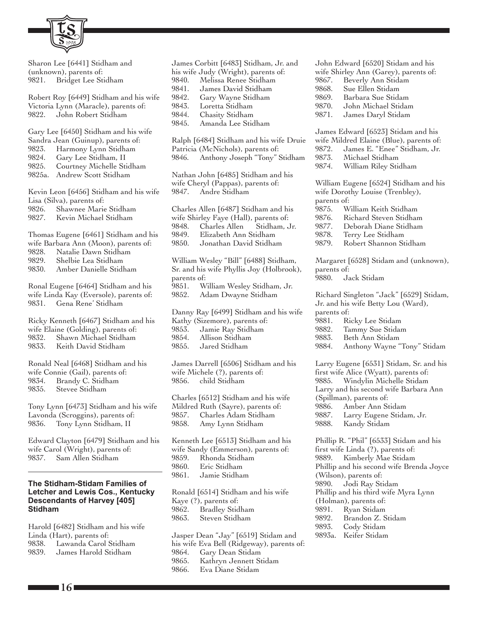

Sharon Lee [6441] Stidham and (unknown), parents of: 9821. Bridget Lee Stidham

Robert Roy [6449] Stidham and his wife Victoria Lynn (Maracle), parents of: 9822. John Robert Stidham

Gary Lee [6450] Stidham and his wife Sandra Jean (Guinup), parents of: 9823. Harmony Lynn Stidham 9824. Gary Lee Stidham, II 9825. Courtney Michelle Stidham 9825a. Andrew Scott Stidham

Kevin Leon [6456] Stidham and his wife Lisa (Silva), parents of: 9826. Shawnee Marie Stidham 9827. Kevin Michael Stidham

Thomas Eugene [6461] Stidham and his wife Barbara Ann (Moon), parents of: 9828. Natalie Dawn Stidham 9829. Shelbie Lea Stidham 9830. Amber Danielle Stidham

Ronal Eugene [6464] Stidham and his wife Linda Kay (Eversole), parents of: 9831. Gena Rene' Stidham

Ricky Kenneth [6467] Stidham and his wife Elaine (Golding), parents of: 9832. Shawn Michael Stidham 9833. Keith David Stidham

Ronald Neal [6468] Stidham and his wife Connie (Gail), parents of: 9834. Brandy C. Stidham 9835. Stevee Stidham

Tony Lynn [6473] Stidham and his wife Lavonda (Scroggins), parents of: 9836. Tony Lynn Stidham, II

Edward Clayton [6479] Stidham and his wife Carol (Wright), parents of: 9837. Sam Allen Stidham

# **The Stidham-Stidam Families of Letcher and Lewis Cos., Kentucky Descendants of Harvey [405] Stidham**

Harold [6482] Stidham and his wife Linda (Hart), parents of: 9838. Lawanda Carol Stidham 9839. James Harold Stidham

|             | James Corbitt [6483] Stidham, Jr. and         |
|-------------|-----------------------------------------------|
|             | his wife Judy (Wright), parents of:           |
| 9840.       | Melissa Renee Stidham                         |
| 9841.       | James David Stidham                           |
|             | 9842. Gary Wayne Stidham                      |
| 9843.       |                                               |
| 9844.       | Loretta Stidham<br>Chasity Stidham            |
| 9845.       | Amanda Lee Stidham                            |
|             |                                               |
|             | Ralph [6484] Stidham and his wife Druie       |
|             | Patricia (McNichols), parents of:             |
|             | 9846. Anthony Joseph "Tony" Stidham           |
|             | Nathan John [6485] Stidham and his            |
|             |                                               |
|             | wife Cheryl (Pappas), parents of:             |
|             | 9847. Andre Stidham                           |
|             | Charles Allen [6487] Stidham and his          |
|             | wife Shirley Faye (Hall), parents of:         |
|             | 9848. Charles Allen Stidham, Jr.              |
|             |                                               |
|             | 9849. Elizabeth Ann Stidham                   |
|             | 9850. Jonathan David Stidham                  |
|             | William Wesley "Bill" [6488] Stidham,         |
|             | Sr. and his wife Phyllis Joy (Holbrook),      |
| parents of: |                                               |
|             | 9851. William Wesley Stidham, Jr.             |
|             |                                               |
|             | 9852. Adam Dwayne Stidham                     |
|             | Danny Ray [6499] Stidham and his wife         |
|             | Kathy (Sizemore), parents of:                 |
|             |                                               |
|             | 9853. Jamie Ray Stidham                       |
|             | 9854. Allison Stidham                         |
|             | 9855. Jared Stidham                           |
|             | James Darrell [6506] Stidham and his          |
|             | wife Michele (?), parents of:                 |
|             | 9856. child Stidham                           |
|             |                                               |
|             | Charles [6512] Stidham and his wife           |
|             | Mildred Ruth (Sayre), parents of:             |
|             |                                               |
| 9857.       | Charles Adam Stidham                          |
| 9858.       | Amy Lynn Stidham                              |
|             | Kenneth Lee [6513] Stidham and his            |
|             | wife Sandy (Emmerson), parents of:            |
| 9859.       | Rhonda Stidham                                |
|             |                                               |
|             | 9860. Eric Stidham<br>9861. Jamie Stidham     |
|             |                                               |
|             | Ronald [6514] Stidham and his wife            |
|             | Kaye (?), parents of:                         |
|             |                                               |
|             | 9862. Bradley Stidham<br>9863. Steven Stidham |
|             |                                               |

Jasper Dean "Jay" [6519] Stidam and his wife Eva Bell (Ridgeway), parents of:

9864. Gary Dean Stidam

9865. Kathryn Jennett Stidam

9866. Eva Diane Stidam

John Edward [6520] Stidam and his wife Shirley Ann (Garey), parents of: 9867. Beverly Ann Stidam 9868. Sue Ellen Stidam 9869. Barbara Sue Stidam 9870. John Michael Stidam 9871. James Daryl Stidam James Edward [6523] Stidam and his wife Mildred Elaine (Blue), parents of: 9872. James E. "Enee" Stidham, Jr. 9873. Michael Stidham 9874. William Riley Stidham William Eugene [6524] Stidham and his wife Dorothy Louise (Trenbley), parents of: 9875. William Keith Stidham 9876. Richard Steven Stidham 9877. Deborah Diane Stidham 9878. Terry Lee Stidham 9879. Robert Shannon Stidham Margaret [6528] Stidam and (unknown), parents of: 9880. Jack Stidam Richard Singleton "Jack" [6529] Stidam, Jr. and his wife Betty Lou (Ward), parents of: 9881. Ricky Lee Stidam 9882. Tammy Sue Stidam 9883. Beth Ann Stidam 9884. Anthony Wayne "Tony" Stidam Larry Eugene [6531] Stidam, Sr. and his first wife Alice (Wyatt), parents of: 9885. Windylin Michelle Stidam Larry and his second wife Barbara Ann (Spillman), parents of: 9886. Amber Ann Stidam 9887. Larry Eugene Stidam, Jr.<br>9888. Kandy Stidam Kandy Stidam Phillip R. "Phil" [6533] Stidam and his first wife Linda (?), parents of: 9889. Kimberly Mae Stidam Phillip and his second wife Brenda Joyce (Wilson), parents of: 9890. Jodi Ray Stidam

Phillip and his third wife Myra Lynn

- (Holman), parents of:
- 9891. Ryan Stidam<br>9892. Brandon Z. S
- 9892. Brandon Z. Stidam Cody Stidam
- 
- 9893a. Keifer Stidam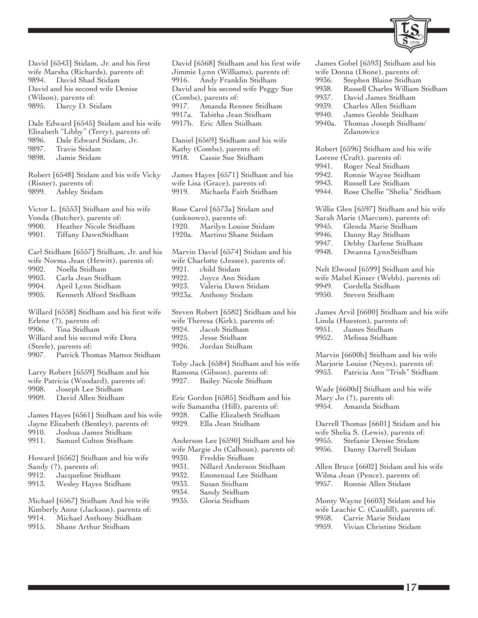

|       | David [6543] Stidam, Jr. and his first    | David [6]           |                          |
|-------|-------------------------------------------|---------------------|--------------------------|
|       | wife Marsha (Richards), parents of:       | Jimmie I            |                          |
|       | 9894. David Shad Stidam                   | 9916.               |                          |
|       | David and his second wife Denise          | David an            |                          |
|       | (Wilson), parents of:                     | (Combs)             |                          |
|       | 9895. Darcy D. Stidam                     | 9917.               |                          |
|       |                                           | 9917a.              |                          |
|       | Dale Edward [6545] Stidam and his wife    | 9917b.              |                          |
|       | Elizabeth "Libby" (Terry), parents of:    |                     |                          |
| 9896. | Dale Edward Stidam, Jr.                   | Daniel [6           |                          |
|       | 9897. Travis Stidam                       | Kathy (C            |                          |
|       | 9898. Jamie Stidam                        | 9918.               |                          |
|       |                                           |                     |                          |
|       | Robert [6548] Stidam and his wife Vicky   | James H             |                          |
|       | (Risner), parents of:                     | wife Lisa           |                          |
|       | 9899. Ashley Stidam                       | 9919.               |                          |
|       |                                           |                     |                          |
|       | Victor L. [6553] Stidham and his wife     | Rose Car            |                          |
|       | Vonda (Butcher), parents of:              | (unknow             |                          |
|       |                                           |                     |                          |
|       | 9900. Heather Nicole Stidham              | 1920.               |                          |
|       | 9901. Tiffany DawnStidham                 | 1920a.              |                          |
|       |                                           |                     |                          |
|       | Carl Stidham [6557] Stidham, Jr. and his  | Marvin I            |                          |
|       | wife Norma Jean (Hewitt), parents of:     | wife Cha<br>9921.   |                          |
| 9902. | Noella Stidham                            |                     | $\overline{\phantom{a}}$ |
| 9903. | Carla Jean Stidham                        | 9922.               |                          |
| 9904. | April Lynn Stidham                        | 9923.               | ľ                        |
| 9905. | Kenneth Alford Stidham                    | 9923a.              |                          |
|       |                                           |                     |                          |
|       | Willard [6558] Stidham and his first wife | Steven R            |                          |
|       | Erlene (?), parents of:                   | wife The            |                          |
|       | 9906. Tina Stidham                        | 9924.               |                          |
|       | Willard and his second wife Dora          | 9925.               |                          |
|       | (Steele), parents of:                     | 9926.<br>$\sim$ 100 |                          |
|       | 9907. Patrick Thomas Mattox Stidham       |                     |                          |
|       |                                           | Toby Jac            |                          |
|       | Larry Robert [6559] Stidham and his       | Ramona              |                          |
|       | wife Patricia (Woodard), parents of:      | 9927.               | ×.                       |
|       | 9908. Joseph Lee Stidham                  |                     |                          |
|       | 9909. David Allen Stidham                 | Eric Gor            |                          |
|       |                                           | wife Sam            |                          |
|       | James Hayes [6561] Stidham and his wife   | 9928.               |                          |
|       | Jayne Elizabeth (Bentley), parents of:    | 9929.               |                          |
| 9910. | Joshua James Stidham                      |                     |                          |
| 9911. | Samuel Colton Stidham                     | Andersor            |                          |
|       |                                           | wife Mar            |                          |
|       | Howard [6562] Stidham and his wife        | 9930.               |                          |
|       | Sandy (?), parents of:                    | 9931.               |                          |
| 9912. | Jacqueline Stidham                        | 9932.               |                          |
| 9913. | Wesley Hayes Stidham                      | 9933.               |                          |
|       |                                           | 9934.               |                          |
|       | Michael [6567] Stidham And his wife       | 9935.               |                          |
|       | Kimberly Anne (Jackson), parents of:      |                     |                          |
|       | 9914. Michael Anthony Stidham             |                     |                          |
|       |                                           |                     |                          |

9915. Shane Arthur Stidham

568] Stidham and his first wife Lynn (Williams), parents of: Andy Franklin Stidham d his second wife Peggy Sue , parents of: Amanda Rennee Stidham Tabitha Jean Stidham Eric Allen Stidham

 $6569$ ] Stidham and his wife Combs), parents of: Cassie Sue Stidham

layes [6571] Stidham and his  $(Grace)$ , parents of: 9919. Michaela Faith Stidham

ol [6573a] Stidam and (n), parents of: 1920. Marilyn Louise Stidam Martino Shane Stidam

David [6574] Stidam and his rlotte (Jessee), parents of: child Stidam Joyce Ann Stidam Valeria Dawn Stidam Anthony Stidam

obert [6582] Stidham and his resa (Kirk), parents of: Jacob Stidham Jesse Stidham Jordan Stidham

k [6584] Stidham and his wife (Gibson), parents of: Bailey Nicole Stidham

don [6585] Stidham and his antha (Hill), parents of: Callie Elizabeth Stidham 9929. Ella Jean Stidham

n Lee [6590] Stidham and his gie Jo (Calhoun), parents of: 9930. Freddie Stidham 9931. Nillard Anderson Stidham

9932. Emmenual Lee Stidham

- Susan Stidham
- Sandy Stidham
- Gloria Stidham
- James Gobel [6593] Stidham and his wife Donna (Dione), parents of:
- 9936. Stephen Blaine Stidham
- 9938. Russell Charles William Stidham
- 9937. David James Stidham<br>9939. Charles Allen Stidham
- 9939. Charles Allen Stidham
- James Geoble Stidham
- 9940a. Thomas Joseph Stidham/ Zdanowicz

Robert [6596] Stidham and his wife Lorene (Craft), parents of:

- 9941. Roger Neal Stidham
- 9942. Ronnie Wayne Stidham
- 9943. Russell Lee Stidham
- 9944. Rose Chellie "Shelia" Stidham

Willie Glen [6597] Stidham and his wife Sarah Marie (Marcum), parents of: 9945. Glenda Marie Stidham 9946. Danny Ray Stidham 9947. Debby Darlene Stidham 9948. Dwanna LynnStidham Nelt Elwood [6599] Stidham and his wife Mabel Kinser (Webb), parents of: 9949. Cordella Stidham 9950. Steven Stidham

James Arvil [6600] Stidham and his wife Linda (Hueston), parents of: 9951. James Stidham<br>9952. Melissa Stidhan Melissa Stidham

Marvin [6600b] Stidham and his wife Marjorie Louise (Neyes), parents of: 9953. Patricia Ann "Trish" Stidham

Wade [6600d] Stidham and his wife Mary Jo (?), parents of: 9954. Amanda Stidham

Darrell Thomas [6601] Stidam and his wife Shelia S. (Lewis), parents of: 9955. Stefanie Denise Stidam 9956. Danny Darrell Stidam

Allen Bruce [6602] Stidam and his wife Wilma Jean (Pence), parents of: 9957. Ronnie Allen Stidam

Monty Wayne [6603] Stidam and his wife Leachie C. (Caudill), parents of: 9958. Carrie Marie Stidam 9959. Vivian Christine Stidam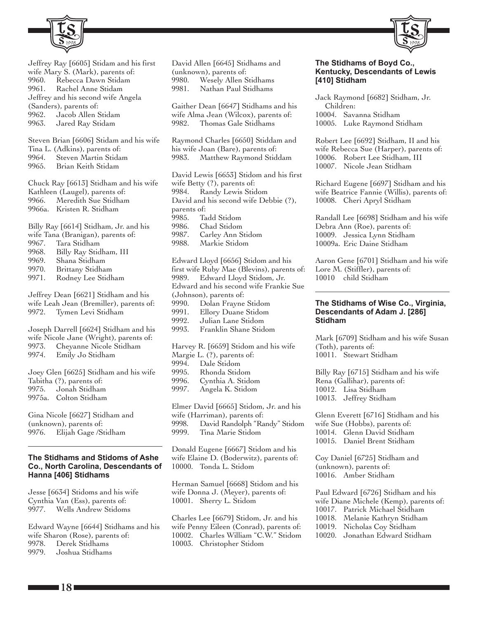



Jeffrey Ray [6605] Stidam and his first wife Mary S. (Mark), parents of: 9960. Rebecca Dawn Stidam 9961. Rachel Anne Stidam Jeffrey and his second wife Angela (Sanders), parents of: 9962. Jacob Allen Stidam

9963. Jared Ray Stidam

Steven Brian [6606] Stidam and his wife Tina L. (Adkins), parents of: 9964. Steven Martin Stidam 9965. Brian Keith Stidam

Chuck Ray [6613] Stidham and his wife Kathleen (Laugel), parents of: 9966. Meredith Sue Stidham 9966a. Kristen R. Stidham

Billy Ray [6614] Stidham, Jr. and his wife Tana (Branigan), parents of: 9967. Tara Stidham 9968. Billy Ray Stidham, III 9969. Shana Stidham 9970. Brittany Stidham

9971. Rodney Lee Stidham

Jeffrey Dean [6621] Stidham and his wife Leah Jean (Bremiller), parents of: 9972. Tymen Levi Stidham

Joseph Darrell [6624] Stidham and his wife Nicole Jane (Wright), parents of: 9973. Cheyanne Nicole Stidham 9974. Emily Jo Stidham

Joey Glen [6625] Stidham and his wife Tabitha (?), parents of: 9975. Jonah Stidham 9975a. Colton Stidham

Gina Nicole [6627] Stidham and (unknown), parents of: 9976. Elijah Gage /Stidham

#### **The Stidhams and Stidoms of Ashe Co., North Carolina, Descendants of Hanna [406] Stidhams**

Jesse [6634] Stidoms and his wife Cynthia Van (Ess), parents of: 9977. Wells Andrew Stidoms

Edward Wayne [6644] Stidhams and his wife Sharon (Rose), parents of: 9978. Derek Stidhams 9979. Joshua Stidhams

David Allen [6645] Stidhams and (unknown), parents of: 9980. Wesely Allen Stidhams 9981. Nathan Paul Stidhams

Gaither Dean [6647] Stidhams and his wife Alma Jean (Wilcox), parents of: 9982. Thomas Gale Stidhams

Raymond Charles [6650] Stiddam and his wife Joan (Bare), parents of: 9983. Matthew Raymond Stiddam

David Lewis [6653] Stidom and his first wife Betty (?), parents of: 9984. Randy Lewis Stidom David and his second wife Debbie (?), parents of: 9985. Tadd Stidom 9986. Chad Stidom 9987. Carley Ann Stidom 9988. Markie Stidom

Edward Lloyd [6656] Stidom and his first wife Ruby Mae (Blevins), parents of: 9989. Edward Lloyd Stidom, Jr. Edward and his second wife Frankie Sue (Johnson), parents of: 9990. Dolan Frayne Stidom<br>9991. Ellory Duane Stidom Ellory Duane Stidom 9992. Julian Lane Stidom 9993. Franklin Shane Stidom Harvey R. [6659] Stidom and his wife Margie L. (?), parents of: 9994. Dale Stidom 9995. Rhonda Stidom

9996. Cynthia A. Stidom 9997. Angela K. Stidom

Elmer David [6665] Stidom, Jr. and his wife (Harriman), parents of: 9998. David Randolph "Randy" Stidom 9999. Tina Marie Stidom

Donald Eugene [6667] Stidom and his wife Elaine D. (Boderwitz), parents of: 10000. Tonda L. Stidom

Herman Samuel [6668] Stidom and his wife Donna J. (Meyer), parents of: 10001. Sherry L. Stidom

Charles Lee [6679] Stidom, Jr. and his wife Penny Eileen (Conrad), parents of: 10002. Charles William "C.W." Stidom 10003. Christopher Stidom

# **The Stidhams of Boyd Co., Kentucky, Descendants of Lewis [410] Stidham**

Jack Raymond [6682] Stidham, Jr. Children: 10004. Savanna Stidham 10005. Luke Raymond Stidham

Robert Lee [6692] Stidham, II and his wife Rebecca Sue (Harper), parents of: 10006. Robert Lee Stidham, III 10007. Nicole Jean Stidham

Richard Eugene [6697] Stidham and his wife Beatrice Fannie (Willis), parents of: 10008. Cheri Apryl Stidham

Randall Lee [6698] Stidham and his wife Debra Ann (Roe), parents of: 10009. Jessica Lynn Stidham 10009a. Eric Daine Stidham

Aaron Gene [6701] Stidham and his wife Lore M. (Stiffler), parents of: 10010 child Stidham

#### **The Stidhams of Wise Co., Virginia, Descendants of Adam J. [286] Stidham**

Mark [6709] Stidham and his wife Susan (Toth), parents of: 10011. Stewart Stidham

Billy Ray [6715] Stidham and his wife Rena (Gallihar), parents of: 10012. Lisa Stidham 10013. Jeffrey Stidham

Glenn Everett [6716] Stidham and his wife Sue (Hobbs), parents of: 10014. Glenn David Stidham 10015. Daniel Brent Stidham

Coy Daniel [6725] Stidham and (unknown), parents of: 10016. Amber Stidham

Paul Edward [6726] Stidham and his wife Diane Michele (Kemp), parents of: 10017. Patrick Michael Stidham 10018. Melanie Kathryn Stidham 10019. Nicholas Coy Stidham 10020. Jonathan Edward Stidham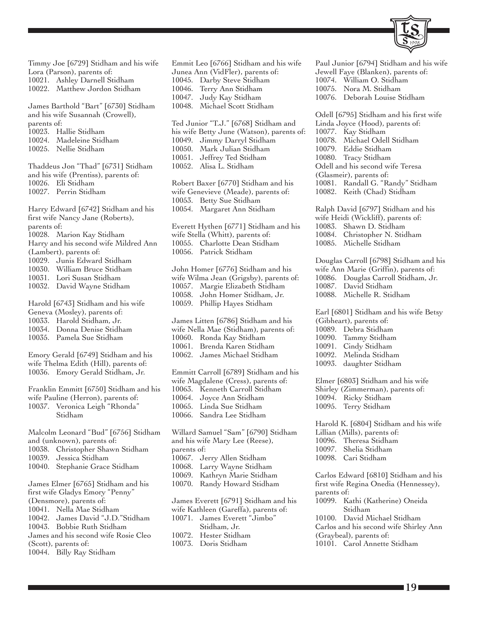

Timmy Joe [6729] Stidham and his wife Lora (Parson), parents of: 10021. Ashley Darnell Stidham 10022. Matthew Jordon Stidham

James Barthold "Bart" [6730] Stidham and his wife Susannah (Crowell), parents of: 10023. Hallie Stidham 10024. Madeleine Stidham 10025. Nellie Stidham

Thaddeus Jon "Thad" [6731] Stidham and his wife (Prentiss), parents of: 10026. Eli Stidham 10027. Perrin Stidham

Harry Edward [6742] Stidham and his first wife Nancy Jane (Roberts), parents of: 10028. Marion Kay Stidham Harry and his second wife Mildred Ann (Lambert), parents of: 10029. Junis Edward Stidham 10030. William Bruce Stidham 10031. Lori Susan Stidham 10032. David Wayne Stidham Harold [6743] Stidham and his wife Geneva (Mosley), parents of: 10033. Harold Stidham, Jr.

- 10034. Donna Denise Stidham
- 10035. Pamela Sue Stidham

Emory Gerald [6749] Stidham and his wife Thelma Edith (Hill), parents of: 10036. Emory Gerald Stidham, Jr.

Franklin Emmitt [6750] Stidham and his wife Pauline (Herron), parents of: 10037. Veronica Leigh "Rhonda" Stidham

Malcolm Leonard "Bud" [6756] Stidham and (unknown), parents of: 10038. Christopher Shawn Stidham 10039. Jessica Stidham 10040. Stephanie Grace Stidham

James Elmer [6765] Stidham and his first wife Gladys Emory "Penny" (Densmore), parents of: 10041. Nella Mae Stidham 10042. James David "J.D."Stidham 10043. Bobbie Ruth Stidham James and his second wife Rosie Cleo (Scott), parents of:

10044. Billy Ray Stidham

Emmit Leo [6766] Stidham and his wife Junea Ann (VidFler), parents of: 10045. Darby Steve Stidham 10046. Terry Ann Stidham 10047. Judy Kay Stidham 10048. Michael Scott Stidham

Ted Junior "T.J." [6768] Stidham and his wife Betty June (Watson), parents of: 10049. Jimmy Darryl Stidham 10050. Mark Julian Stidham 10051. Jeffrey Ted Stidham 10052. Alisa L. Stidham

Robert Baxer [6770] Stidham and his wife Genevieve (Meade), parents of: 10053. Betty Sue Stidham 10054. Margaret Ann Stidham

Everett Hythen [6771] Stidham and his wife Stella (Whitt), parents of: 10055. Charlotte Dean Stidham 10056. Patrick Stidham

John Homer [6776] Stidham and his wife Wilma Jean (Grigsby), parents of: 10057. Margie Elizabeth Stidham 10058. John Homer Stidham, Jr. 10059. Phillip Hayes Stidham

James Litten [6786] Stidham and his wife Nella Mae (Stidham), parents of: 10060. Ronda Kay Stidham 10061. Brenda Karen Stidham 10062. James Michael Stidham Emmitt Carroll [6789] Stidham and his wife Magdalene (Cress), parents of: 10063. Kenneth Carroll Stidham 10064. Joyce Ann Stidham 10065. Linda Sue Stidham

10066. Sandra Lee Stidham Willard Samuel "Sam" [6790] Stidham

and his wife Mary Lee (Reese), parents of: 10067. Jerry Allen Stidham 10068. Larry Wayne Stidham 10069. Kathryn Marie Stidham 10070. Randy Howard Stidham

James Everett [6791] Stidham and his wife Kathleen (Gareffa), parents of:

- 10071. James Everett "Jimbo" Stidham, Jr. 10072. Hester Stidham
- 10073. Doris Stidham

Paul Junior [6794] Stidham and his wife Jewell Faye (Blanken), parents of: 10074. William O. Stidham 10075. Nora M. Stidham 10076. Deborah Louise Stidham

Odell [6795] Stidham and his first wife Linda Joyce (Hood), parents of: 10077. Kay Stidham 10078. Michael Odell Stidham 10079. Eddie Stidham 10080. Tracy Stidham Odell and his second wife Teresa (Glasmeir), parents of: 10081. Randall G. "Randy" Stidham 10082. Keith (Chad) Stidham Ralph David [6797] Stidham and his wife Heidi (Wickliff), parents of: 10083. Shawn D. Stidham 10084. Christopher N. Stidham 10085. Michelle Stidham Douglas Carroll [6798] Stidham and his wife Ann Marie (Griffin), parents of:

10086. Douglas Carroll Stidham, Jr. 10087. David Stidham 10088. Michelle R. Stidham

Earl [6801] Stidham and his wife Betsy (Gibheart), parents of: 10089. Debra Stidham 10090. Tammy Stidham 10091. Cindy Stidham 10092. Melinda Stidham 10093. daughter Stidham Elmer [6803] Stidham and his wife Shirley (Zimmerman), parents of:

10094. Ricky Stidham 10095. Terry Stidham

Harold K. [6804] Stidham and his wife Lillian (Mills), parents of: 10096. Theresa Stidham 10097. Shelia Stidham 10098. Cari Stidham

Carlos Edward [6810] Stidham and his first wife Regina Onedia (Hennessey), parents of: 10099. Kathi (Katherine) Oneida Stidham 10100. David Michael Stidham Carlos and his second wife Shirley Ann (Graybeal), parents of: 10101. Carol Annette Stidham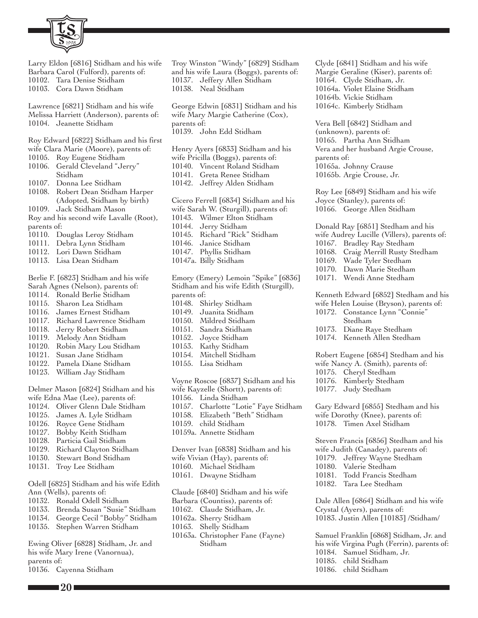

Larry Eldon [6816] Stidham and his wife Barbara Carol (Fulford), parents of: 10102. Tara Denise Stidham 10103. Cora Dawn Stidham

Lawrence [6821] Stidham and his wife Melissa Harriett (Anderson), parents of: 10104. Jeanette Stidham

Roy Edward [6822] Stidham and his first

- wife Clara Marie (Moore), parents of:
- 10105. Roy Eugene Stidham 10106. Gerald Cleveland "Jerry" Stidham
- 10107. Donna Lee Stidham
- 10108. Robert Dean Stidham Harper (Adopted, Stidham by birth)

10109. Jack Stidham Mason Roy and his second wife Lavalle (Root), parents of:

- 10110. Douglas Leroy Stidham
- 10111. Debra Lynn Stidham
- 10112. Lori Dawn Stidham
- 10113. Lisa Dean Stidham

Berlie F. [6823] Stidham and his wife Sarah Agnes (Nelson), parents of:

- 10114. Ronald Berlie Stidham
- 10115. Sharon Lea Stidham
- 10116. James Ernest Stidham
- 10117. Richard Lawrence Stidham
- 10118. Jerry Robert Stidham
- 10119. Melody Ann Stidham
- 10120. Robin Mary Lou Stidham
- Susan Jane Stidham
- 10122. Pamela Diane Stidham
- 10123. William Jay Stidham

Delmer Mason [6824] Stidham and his

- wife Edna Mae (Lee), parents of:
- 10124. Oliver Glenn Dale Stidham
- 10125. James A. Lyle Stidham
- 10126. Royce Gene Stidham
- 10127. Bobby Keith Stidham
- 10128. Particia Gail Stidham
- 10129. Richard Clayton Stidham
- 10130. Stewart Bond Stidham
- 10131. Troy Lee Stidham

Odell [6825] Stidham and his wife Edith Ann (Wells), parents of:

- 10132. Ronald Odell Stidham
- 10133. Brenda Susan "Susie" Stidham
- 10134. George Cecil "Bobby" Stidham
- 10135. Stephen Warren Stidham

Ewing Oliver [6828] Stidham, Jr. and his wife Mary Irene (Vanornua), parents of: 10136. Cayenna Stidham

Troy Winston "Windy" [6829] Stidham and his wife Laura (Boggs), parents of: 10137. Jeffery Allen Stidham 10138. Neal Stidham

George Edwin [6831] Stidham and his wife Mary Margie Catherine (Cox), parents of: 10139. John Edd Stidham

Henry Ayers [6833] Stidham and his wife Pricilla (Boggs), parents of: 10140. Vincent Roland Stidham 10141. Greta Renee Stidham

10142. Jeffrey Alden Stidham

Cicero Ferrell [6834] Stidham and his wife Sarah W. (Sturgill), parents of: 10143. Wilmer Elton Stidham 10144. Jerry Stidham 10145. Richard "Rick" Stidham 10146. Janice Stidham 10147. Phyllis Stidham 10147a. Billy Stidham

Emory (Emery) Lemoin "Spike" [6836] Stidham and his wife Edith (Sturgill), parents of: 10148. Shirley Stidham 10149. Juanita Stidham

- 10150. Mildred Stidham
- 10151. Sandra Stidham
- 10152. Joyce Stidham
- 10153. Kathy Stidham
- 10154. Mitchell Stidham
- 10155. Lisa Stidham
- 

Voyne Roscoe [6837] Stidham and his wife Kayzelle (Shortt), parents of: 10156. Linda Stidham 10157. Charlotte "Lotie" Faye Stidham 10158. Elizabeth "Beth" Stidham

- 10159. child Stidham
- 10159a. Annette Stidham

Denver Ivan [6838] Stidham and his wife Vivian (Hay), parents of:

10160. Michael Stidham 10161. Dwayne Stidham

Claude [6840] Stidham and his wife Barbara (Countiss), parents of:

- 10162. Claude Stidham, Jr.
- 10162a. Sherry Stidham
- 10163. Shelly Stidham
- 10163a. Christopher Fane (Fayne) Stidham

Clyde [6841] Stidham and his wife Margie Geraline (Kiser), parents of: 10164. Clyde Stidham, Jr. 10164a. Violet Elaine Stidham 10164b. Vickie Stidham 10164c. Kimberly Stidham

Vera Bell [6842] Stidham and (unknown), parents of: 10165. Partha Ann Stidham Vera and her husband Argie Crouse, parents of: 10165a. Johnny Crause 10165b. Argie Crouse, Jr.

Roy Lee [6849] Stidham and his wife Joyce (Stanley), parents of: 10166. George Allen Stidham

Donald Ray [6851] Stedham and his wife Audrey Lucille (Villers), parents of: 10167. Bradley Ray Stedham 10168. Craig Merrill Rusty Stedham 10169. Wade Tyler Stedham 10170. Dawn Marie Stedham

10171. Wendi Anne Stedham

Kenneth Edward [6852] Stedham and his wife Helen Louise (Bryson), parents of:

- 10172. Constance Lynn "Connie" Stedham
- 10173. Diane Raye Stedham
- 10174. Kenneth Allen Stedham

Robert Eugene [6854] Stedham and his wife Nancy A. (Smith), parents of:

10175. Cheryl Stedham

- 10176. Kimberly Stedham
- 10177. Judy Stedham

Gary Edward [6855] Stedham and his wife Dorothy (Knee), parents of: 10178. Timen Axel Stidham

Steven Francis [6856] Stedham and his wife Judith (Canadey), parents of: 10179. Jeffrey Wayne Stedham 10180. Valerie Stedham 10181. Todd Francis Stedham

10182. Tara Lee Stedham

Dale Allen [6864] Stidham and his wife Crystal (Ayers), parents of: 10183. Justin Allen [10183] /Stidham/

Samuel Franklin [6868] Stidham, Jr. and his wife Virgina Pugh (Ferrin), parents of: 10184. Samuel Stidham, Jr. 10185. child Stidham 10186. child Stidham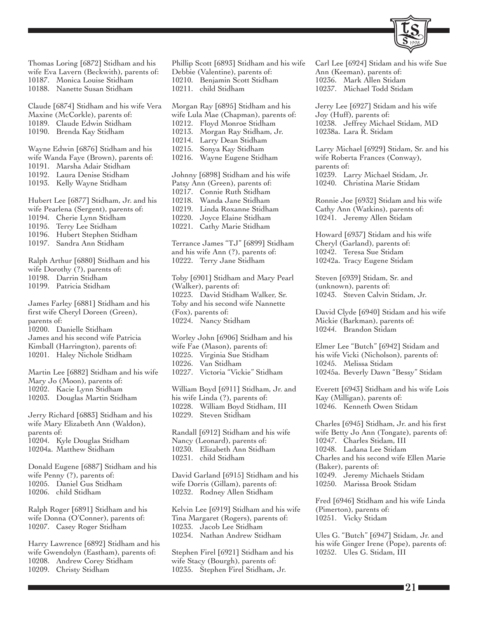

Thomas Loring [6872] Stidham and his wife Eva Lavern (Beckwith), parents of: 10187. Monica Louise Stidham 10188. Nanette Susan Stidham Claude [6874] Stidham and his wife Vera Maxine (McCorkle), parents of: 10189. Claude Edwin Stidham 10190. Brenda Kay Stidham Wayne Edwin [6876] Stidham and his wife Wanda Faye (Brown), parents of: 10191. Marsha Adair Stidham 10192. Laura Denise Stidham 10193. Kelly Wayne Stidham Hubert Lee [6877] Stidham, Jr. and his wife Pearlena (Sergent), parents of: 10194. Cherie Lynn Stidham 10195. Terry Lee Stidham 10196. Hubert Stephen Stidham 10197. Sandra Ann Stidham Ralph Arthur [6880] Stidham and his wife Dorothy (?), parents of: 10198. Darrin Stidham 10199. Patricia Stidham James Farley [6881] Stidham and his first wife Cheryl Doreen (Green), parents of: 10200. Danielle Stidham James and his second wife Patricia Kimball (Harrington), parents of: 10201. Haley Nichole Stidham Martin Lee [6882] Stidham and his wife Mary Jo (Moon), parents of: 10202. Kacie Lynn Stidham 10203. Douglas Martin Stidham Jerry Richard [6883] Stidham and his wife Mary Elizabeth Ann (Waldon), parents of: 10204. Kyle Douglas Stidham 10204a. Matthew Stidham Donald Eugene [6887] Stidham and his wife Penny (?), parents of: 10205. Daniel Gus Stidham 10206. child Stidham

Ralph Roger [6891] Stidham and his wife Donna (O'Conner), parents of: 10207. Casey Roger Stidham

Harry Lawrence [6892] Stidham and his wife Gwendolyn (Eastham), parents of: 10208. Andrew Corey Stidham 10209. Christy Stidham

Phillip Scott [6893] Stidham and his wife Debbie (Valentine), parents of: 10210. Benjamin Scott Stidham 10211. child Stidham

Morgan Ray [6895] Stidham and his wife Lula Mae (Chapman), parents of: 10212. Floyd Monroe Stidham 10213. Morgan Ray Stidham, Jr. 10214. Larry Dean Stidham 10215. Sonya Kay Stidham 10216. Wayne Eugene Stidham Johnny [6898] Stidham and his wife Patsy Ann (Green), parents of: 10217. Connie Ruth Stidham 10218. Wanda Jane Stidham 10219. Linda Roxanne Stidham 10220. Joyce Elaine Stidham 10221. Cathy Marie Stidham Terrance James "TJ" [6899] Stidham and his wife Ann (?), parents of: 10222. Terry Jane Stidham Toby [6901] Stidham and Mary Pearl

(Walker), parents of: 10223. David Stidham Walker, Sr. Toby and his second wife Nannette (Fox), parents of: 10224. Nancy Stidham

Worley John [6906] Stidham and his wife Fae (Mason), parents of: 10225. Virginia Sue Stidham 10226. Van Stidham 10227. Victoria "Vickie" Stidham

William Boyd [6911] Stidham, Jr. and his wife Linda (?), parents of: 10228. William Boyd Stidham, III 10229. Steven Stidham

Randall [6912] Stidham and his wife Nancy (Leonard), parents of: 10230. Elizabeth Ann Stidham 10231. child Stidham

David Garland [6915] Stidham and his wife Dorris (Gillam), parents of: 10232. Rodney Allen Stidham

Kelvin Lee [6919] Stidham and his wife Tina Margaret (Rogers), parents of: 10233. Jacob Lee Stidham 10234. Nathan Andrew Stidham

Stephen Firel [6921] Stidham and his wife Stacy (Bourgh), parents of: 10235. Stephen Firel Stidham, Jr.

Carl Lee [6924] Stidam and his wife Sue Ann (Keeman), parents of: 10236. Mark Allen Stidam 10237. Michael Todd Stidam

Jerry Lee [6927] Stidam and his wife Joy (Huff), parents of: 10238. Jeffrey Michael Stidam, MD 10238a. Lara R. Stidam

Larry Michael [6929] Stidam, Sr. and his wife Roberta Frances (Conway), parents of: 10239. Larry Michael Stidam, Jr. 10240. Christina Marie Stidam

Ronnie Joe [6932] Stidam and his wife Cathy Ann (Watkins), parents of: 10241. Jeremy Allen Stidam

Howard [6937] Stidam and his wife Cheryl (Garland), parents of: 10242. Teresa Sue Stidam 10242a. Tracy Eugene Stidam

Steven [6939] Stidam, Sr. and (unknown), parents of: 10243. Steven Calvin Stidam, Jr.

David Clyde [6940] Stidam and his wife Mickie (Barkman), parents of: 10244. Brandon Stidam

Elmer Lee "Butch" [6942] Stidam and his wife Vicki (Nicholson), parents of: 10245. Melissa Stidam 10245a. Beverly Dawn "Bessy" Stidam

Everett [6943] Stidham and his wife Lois Kay (Milligan), parents of: 10246. Kenneth Owen Stidam

Charles [6945] Stidham, Jr. and his first wife Betty Jo Ann (Tongate), parents of: 10247. Charles Stidam, III 10248. Ladana Lee Stidam Charles and his second wife Ellen Marie (Baker), parents of: 10249. Jeremy Michaels Stidam 10250. Marissa Brook Stidam

Fred [6946] Stidham and his wife Linda (Pimerton), parents of: 10251. Vicky Stidam

Ules G. "Butch" [6947] Stidam, Jr. and his wife Ginger Irene (Pope), parents of: 10252. Ules G. Stidam, III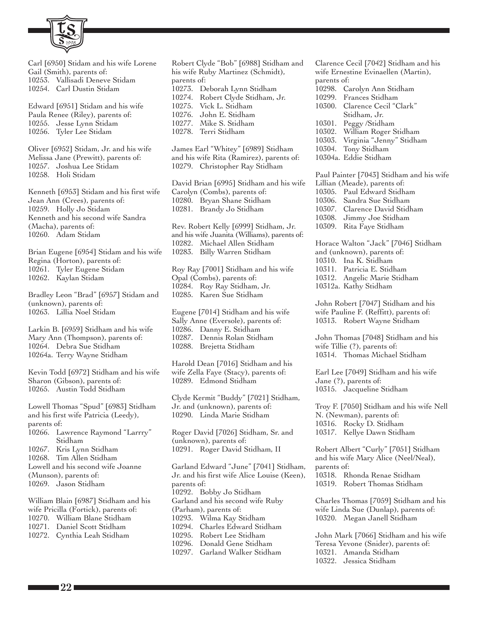

Carl [6950] Stidam and his wife Lorene Gail (Smith), parents of: 10253. Vallisadi Deneve Stidam 10254. Carl Dustin Stidam

Edward [6951] Stidam and his wife Paula Renee (Riley), parents of: 10255. Jesse Lynn Stidam 10256. Tyler Lee Stidam

Oliver [6952] Stidam, Jr. and his wife Melissa Jane (Prewitt), parents of: 10257. Joshua Lee Stidam 10258. Holi Stidam

Kenneth [6953] Stidam and his first wife Jean Ann (Crees), parents of: 10259. Holly Jo Stidam Kenneth and his second wife Sandra (Macha), parents of: 10260. Adam Stidam

Brian Eugene [6954] Stidam and his wife Regina (Horton), parents of: 10261. Tyler Eugene Stidam 10262. Kaylan Stidam

Bradley Leon "Brad" [6957] Stidam and (unknown), parents of: 10263. Lillia Noel Stidam

Larkin B. [6959] Stidham and his wife Mary Ann (Thompson), parents of: 10264. Debra Sue Stidham 10264a. Terry Wayne Stidham

Kevin Todd [6972] Stidham and his wife Sharon (Gibson), parents of: 10265. Austin Todd Stidham

Lowell Thomas "Spud" [6983] Stidham and his first wife Patricia (Leedy), parents of: 10266. Lawrence Raymond "Larrry" Stidham 10267. Kris Lynn Stidham 10268. Tim Allen Stidham Lowell and his second wife Joanne (Munson), parents of: 10269. Jason Stidham William Blain [6987] Stidham and his

wife Pricilla (Fortick), parents of: 10270. William Blane Stidham 10271. Daniel Scott Stidham 10272. Cynthia Leah Stidham

Robert Clyde "Bob" [6988] Stidham and his wife Ruby Martinez (Schmidt), parents of: 10273. Deborah Lynn Stidham 10274. Robert Clyde Stidham, Jr. 10275. Vick L. Stidham 10276. John E. Stidham 10277. Mike S. Stidham 10278. Terri Stidham

James Earl "Whitey" [6989] Stidham and his wife Rita (Ramirez), parents of: 10279. Christopher Ray Stidham

David Brian [6995] Stidham and his wife Carolyn (Combs), parents of: 10280. Bryan Shane Stidham 10281. Brandy Jo Stidham

Rev. Robert Kelly [6999] Stidham, Jr. and his wife Juanita (Williams), parents of: 10282. Michael Allen Stidham 10283. Billy Warren Stidham

Roy Ray [7001] Stidham and his wife Opal (Combs), parents of: 10284. Roy Ray Stidham, Jr. 10285. Karen Sue Stidham

Eugene [7014] Stidham and his wife Sally Anne (Eversole), parents of: 10286. Danny E. Stidham 10287. Dennis Rolan Stidham 10288. Brejetta Stidham

Harold Dean [7016] Stidham and his wife Zella Faye (Stacy), parents of: 10289. Edmond Stidham

Clyde Kermit "Buddy" [7021] Stidham, Jr. and (unknown), parents of: 10290. Linda Marie Stidham

Roger David [7026] Stidham, Sr. and (unknown), parents of: 10291. Roger David Stidham, II

Garland Edward "June" [7041] Stidham, Jr. and his first wife Alice Louise (Keen), parents of: 10292. Bobby Jo Stidham Garland and his second wife Ruby (Parham), parents of: 10293. Wilma Kay Stidham 10294. Charles Edward Stidham 10295. Robert Lee Stidham 10296. Donald Gene Stidham 10297. Garland Walker Stidham

Clarence Cecil [7042] Stidham and his wife Ernestine Evinaellen (Martin), parents of: 10298. Carolyn Ann Stidham 10299. Frances Stidham 10300. Clarence Cecil "Clark" Stidham, Jr. 10301. Peggy /Stidham 10302. William Roger Stidham 10303. Virginia "Jenny" Stidham 10304. Tony Stidham 10304a. Eddie Stidham Paul Painter [7043] Stidham and his wife Lillian (Meade), parents of: 10305. Paul Edward Stidham 10306. Sandra Sue Stidham 10307. Clarence David Stidham 10308. Jimmy Joe Stidham

10309. Rita Faye Stidham

Horace Walton "Jack" [7046] Stidham and (unknown), parents of: 10310. Ina K. Stidham 10311. Patricia E. Stidham 10312. Angelic Marie Stidham 10312a. Kathy Stidham

John Robert [7047] Stidham and his wife Pauline F. (Reffitt), parents of: 10313. Robert Wayne Stidham

John Thomas [7048] Stidham and his wife Tillie (?), parents of: 10314. Thomas Michael Stidham

Earl Lee [7049] Stidham and his wife Jane (?), parents of: 10315. Jacqueline Stidham

Troy F. [7050] Stidham and his wife Nell N. (Newman), parents of: 10316. Rocky D. Stidham 10317. Kellye Dawn Stidham

Robert Albert "Curly" [7051] Stidham and his wife Mary Alice (Neel/Neal), parents of: 10318. Rhonda Renae Stidham 10319. Robert Thomas Stidham

Charles Thomas [7059] Stidham and his wife Linda Sue (Dunlap), parents of: 10320. Megan Janell Stidham

John Mark [7066] Stidham and his wife Teresa Yevone (Snider), parents of: 10321. Amanda Stidham 10322. Jessica Stidham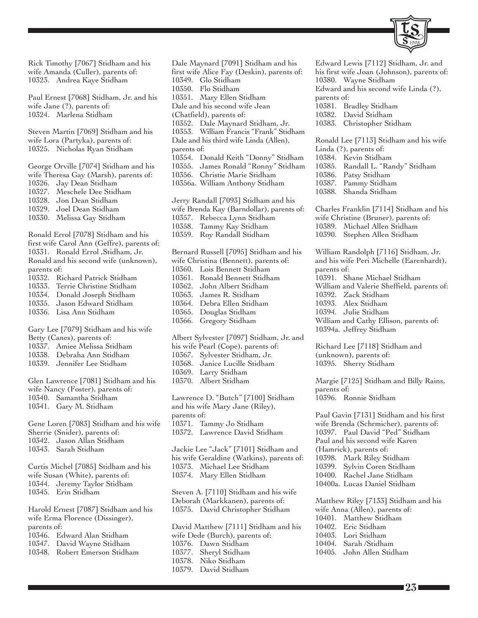

Rick Timothy [7067] Stidham and his wife Amanda (Culler), parents of: 10323. Andrea Kaye Stidham

Paul Ernest [7068] Stidham, Jr. and his wife Jane (?), parents of: 10324. Marlena Stidham

Steven Martin [7069] Stidham and his wife Lora (Partyka), parents of: 10325. Nicholas Ryan Stidham

George Orville [7074] Stidham and his wife Theresa Gay (Marsh), parents of: 10326. Jay Dean Stidham 10327. Meschele Dee Stidham 10328. Jon Dean Stidham 10329. Joel Dean Stidham 10330. Melissa Gay Stidham

Ronald Errol [7078] Stidham and his first wife Carol Ann (Geffre), parents of: 10331. Ronald Errol ,Stidham, Jr. Ronald and his second wife (unknown), parents of: 10332. Richard Patrick Stidham

10333. Terrie Christine Stidham

- 10334. Donald Joseph Stidham
- 10335. Jason Edward Stidham
- 10336. Lisa Ann Stidham

Gary Lee [7079] Stidham and his wife Betty (Canes), parents of: 10337. Amiee Melissa Stidham 10338. Debraha Ann Stidham

10339. Jennifer Lee Stidham

Glen Lawrence [7081] Stidham and his wife Nancy (Foster), parents of: 10340. Samantha Stidham 10341. Gary M. Stidham

Gene Loren [7083] Stidham and his wife Sherrie (Snider), parents of: 10342. Jason Allan Stidham 10343. Sarah Stidham

Curtis Michel [7085] Stidham and his wife Susan (White), parents of: 10344. Jeremy Taylor Stidham 10345. Erin Stidham

Harold Ernest [7087] Stidham and his wife Erma Florence (Dissinger), parents of: 10346. Edward Alan Stidham 10347. David Wayne Stidham

10348. Robert Emerson Stidham

Dale Maynard [7091] Stidham and his first wife Alice Fay (Deskin), parents of: 10349. Glo Stidham 10350. Flo Stidham 10351. Mary Ellen Stidham Dale and his second wife Jean (Chatfield), parents of: 10352. Dale Maynard Stidham, Jr. 10353. William Francis "Frank" Stidham Dale and his third wife Linda (Allen), parents of: 10354. Donald Keith "Donny" Stidham 10355. James Ronald "Ronny" Stidham 10356. Christie Marie Stidham 10356a. William Anthony Stidham Jerry Randall [7093] Stidham and his wife Brenda Kay (Barndollar), parents of: 10357. Rebecca Lynn Stidham 10358. Tammy Kay Stidham 10359. Roy Randall Stidham Bernard Russell [7095] Stidham and his wife Christina (Bennett), parents of: 10360. Lois Bennett Stidham 10361. Ronald Bennett Stidham 10362. John Albert Stidham 10363. James R. Stidham 10364. Debra Ellen Stidham 10365. Douglas Stidham 10366. Gregory Stidham Albert Sylvester [7097] Stidham, Jr. and his wife Pearl (Cope), parents of: 10367. Sylvester Stidham, Jr. 10368. Janice Lucille Stidham 10369. Larry Stidham 10370. Albert Stidham Lawrence D. "Butch" [7100] Stidham and his wife Mary Jane (Riley), parents of: 10371. Tammy Jo Stidham 10372. Lawrence David Stidham Jackie Lee "Jack" [7101] Stidham and his wife Geraldine (Watkins), parents of: 10373. Michael Lee Stidham 10374. Mary Ellen Stidham Steven A. [7110] Stidham and his wife Deborah (Markkanen), parents of: 10375. David Christopher Stidham David Matthew [7111] Stidham and his

wife Dede (Burch), parents of: 10376. Dawn Stidham 10377. Sheryl Stidham 10378. Niko Stidham 10379. David Stidham

10380. Wayne Stidham Edward and his second wife Linda (?), parents of: 10381. Bradley Stidham 10382. David Stidham 10383. Christopher Stidham Ronald Lee [7113] Stidham and his wife Linda (?), parents of: 10384. Kevin Stidham 10385. Randall L. "Randy" Stidham 10386. Patsy Stidham 10387. Pammy Stidham 10388. Shanda Stidham Charles Franklin [7114] Stidham and his wife Christine (Bruner), parents of: 10389. Michael Allen Stidham 10390. Stephen Allen Stidham William Randolph [7116] Stidham, Jr. and his wife Peri Michelle (Earenhardt), parents of: 10391. Shane Michael Stidham

Edward Lewis [7112] Stidham, Jr. and his first wife Joan (Johnson), parents of:

William and Valerie Sheffield, parents of: 10392. Zack Stidham 10393. Alex Stidham 10394. Julie Stidham William and Cathy Ellison, parents of: 10394a. Jeffrey Stidham

Richard Lee [7118] Stidham and (unknown), parents of: 10395. Sherry Stidham

Margie [7125] Stidham and Billy Rains, parents of: 10396. Ronnie Stidham

Paul Gavin [7131] Stidham and his first wife Brenda (Schrmicher), parents of: 10397. Paul David "Ped" Stidham Paul and his second wife Karen (Hamrick), parents of: 10398. Mark Riley Stidham 10399. Sylvin Coren Stidham 10400. Rachel Jane Stidham 10400a. Lucas Daniel Stidham

Matthew Riley [7133] Stidham and his wife Anna (Allen), parents of: 10401. Matthew Stidham 10402. Eric Stidham 10403. Lori Stidham 10404. Sarah /Stidham 10405. John Allen Stidham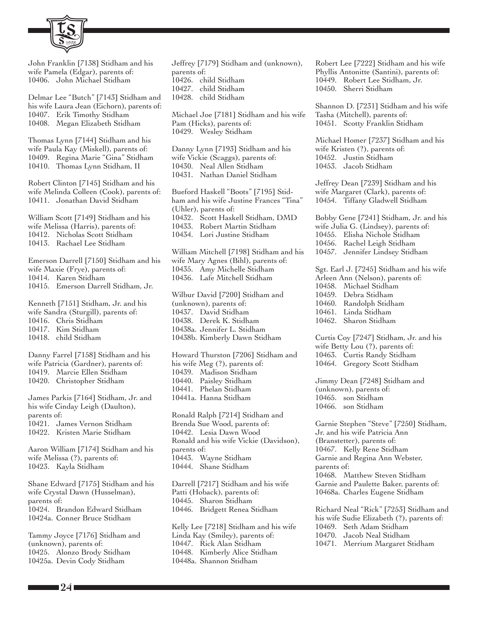

John Franklin [7138] Stidham and his wife Pamela (Edgar), parents of: 10406. John Michael Stidham

Delmar Lee "Butch" [7143] Stidham and his wife Laura Jean (Eichorn), parents of: 10407. Erik Timothy Stidham 10408. Megan Elizabeth Stidham

Thomas Lynn [7144] Stidham and his wife Paula Kay (Miskell), parents of: 10409. Regina Marie "Gina" Stidham 10410. Thomas Lynn Stidham, II

Robert Clinton [7145] Stidham and his wife Melinda Colleen (Cook), parents of: 10411. Jonathan David Stidham

William Scott [7149] Stidham and his wife Melissa (Harris), parents of: 10412. Nicholas Scott Stidham 10413. Rachael Lee Stidham

Emerson Darrell [7150] Stidham and his wife Maxie (Frye), parents of: 10414. Karen Stidham 10415. Emerson Darrell Stidham, Jr.

Kenneth [7151] Stidham, Jr. and his wife Sandra (Sturgill), parents of: 10416. Chris Stidham 10417. Kim Stidham 10418. child Stidham

Danny Farrel [7158] Stidham and his wife Patricia (Gardner), parents of: 10419. Marcie Ellen Stidham 10420. Christopher Stidham

James Parkis [7164] Stidham, Jr. and his wife Cinday Leigh (Daulton), parents of: 10421. James Vernon Stidham 10422. Kristen Marie Stidham

Aaron William [7174] Stidham and his wife Melissa (?), parents of: 10423. Kayla Stidham

Shane Edward [7175] Stidham and his wife Crystal Dawn (Husselman), parents of: 10424. Brandon Edward Stidham 10424a. Conner Bruce Stidham

Tammy Joyce [7176] Stidham and (unknown), parents of: 10425. Alonzo Brody Stidham 10425a. Devin Cody Stidham

Jeffrey [7179] Stidham and (unknown), parents of: 10426. child Stidham 10427. child Stidham 10428. child Stidham

Michael Joe [7181] Stidham and his wife Pam (Hicks), parents of: 10429. Wesley Stidham

Danny Lynn [7193] Stidham and his wife Vickie (Scaggs), parents of: 10430. Neal Allen Stidham 10431. Nathan Daniel Stidham

Bueford Haskell "Boots" [7195] Stidham and his wife Justine Frances "Tina" (Uhler), parents of: 10432. Scott Haskell Stidham, DMD 10433. Robert Martin Stidham 10434. Lori Justine Stidham William Mitchell [7198] Stidham and his wife Mary Agnes (Bihl), parents of: 10435. Amy Michelle Stidham 10436. Lafe Mitchell Stidham

Wilbur David [7200] Stidham and (unknown), parents of: 10437. David Stidham 10438. Derek K. Stidham 10438a. Jennifer L. Stidham 10438b. Kimberly Dawn Stidham

Howard Thurston [7206] Stidham and his wife Meg (?), parents of: 10439. Madison Stidham 10440. Paisley Stidham 10441. Phelan Stidham 10441a. Hanna Stidham

Ronald Ralph [7214] Stidham and Brenda Sue Wood, parents of: 10442. Lesia Dawn Wood Ronald and his wife Vickie (Davidson), parents of: 10443. Wayne Stidham 10444. Shane Stidham

Darrell [7217] Stidham and his wife Patti (Hoback), parents of: 10445. Sharon Stidham 10446. Bridgett Renea Stidham

Kelly Lee [7218] Stidham and his wife Linda Kay (Smiley), parents of: 10447. Rick Alan Stidham 10448. Kimberly Alice Stidham 10448a. Shannon Stidham

Robert Lee [7222] Stidham and his wife Phyllis Antonitte (Santini), parents of: 10449. Robert Lee Stidham, Jr. 10450. Sherri Stidham

Shannon D. [7231] Stidham and his wife Tasha (Mitchell), parents of: 10451. Scotty Franklin Stidham

Michael Homer [7237] Stidham and his wife Kristen (?), parents of: 10452. Justin Stidham 10453. Jacob Stidham

Jeffrey Dean [7239] Stidham and his wife Margaret (Clark), parents of: 10454. Tiffany Gladwell Stidham

Bobby Gene [7241] Stidham, Jr. and his wife Julia G. (Lindsey), parents of: 10455. Elisha Nichole Stidham 10456. Rachel Leigh Stidham 10457. Jennifer Lindsey Stidham

Sgt. Earl J. [7245] Stidham and his wife Arleen Ann (Nelson), parents of: 10458. Michael Stidham 10459. Debra Stidham 10460. Randolph Stidham 10461. Linda Stidham 10462. Sharon Stidham

Curtis Coy [7247] Stidham, Jr. and his wife Betty Lou (?), parents of: 10463. Curtis Randy Stidham 10464. Gregory Scott Stidham

Jimmy Dean [7248] Stidham and (unknown), parents of: 10465. son Stidham 10466. son Stidham

Garnie Stephen "Steve" [7250] Stidham, Jr. and his wife Patricia Ann (Branstetter), parents of: 10467. Kelly Rene Stidham Garnie and Regina Ann Webster, parents of: 10468. Matthew Steven Stidham Garnie and Paulette Baker, parents of: 10468a. Charles Eugene Stidham

Richard Neal "Rick" [7253] Stidham and his wife Sudie Elizabeth (?), parents of: 10469. Seth Adam Stidham 10470. Jacob Neal Stidham 10471. Merrium Margaret Stidham